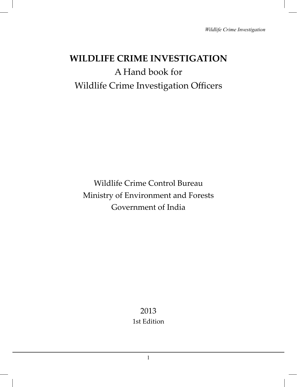# **WILDLIFE CRIME INVESTIGATION** A Hand book for Wildlife Crime Investigation Officers

Wildlife Crime Control Bureau Ministry of Environment and Forests Government of India

> 2013 1st Edition

> > 1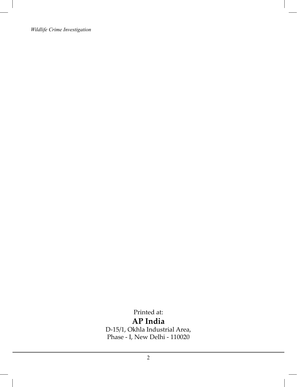Printed at: **AP India** D-15/1, Okhla Industrial Area, Phase - I, New Delhi - 110020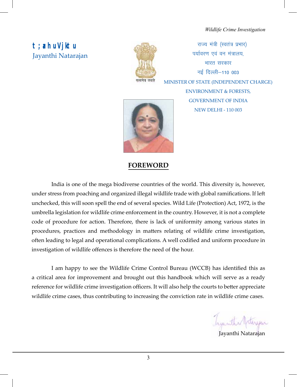# **t;arh uVjktu** Jayanthi Natarajan



राज्य मंत्री (स्वतंत्र प्रभार) पर्यावरण एवं वन मंत्रालय, भारत सरकार  $\overline{\mathcal{F}}$ ई दिल्ली $-110$  003 MINISTER OF STATE (INDEPENDENT CHARGE) ENVIRONMENT & FORESTS, GOVERNMENT OF INDIA NEW DELHI - 110 003



## **FOREWORD**

India is one of the mega biodiverse countries of the world. This diversity is, however, under stress from poaching and organized illegal wildlife trade with global ramifications. If left unchecked, this will soon spell the end of several species. Wild Life (Protection) Act, 1972, is the umbrella legislation for wildlife crime enforcement in the country. However, it is not a complete code of procedure for action. Therefore, there is lack of uniformity among various states in procedures, practices and methodology in matters relating of wildlife crime investigation, often leading to legal and operational complications. A well codified and uniform procedure in investigation of wildlife offences is therefore the need of the hour.

I am happy to see the Wildlife Crime Control Bureau (WCCB) has identified this as a critical area for improvement and brought out this handbook which will serve as a ready reference for wildlife crime investigation officers. It will also help the courts to better appreciate wildlife crime cases, thus contributing to increasing the conviction rate in wildlife crime cases.

Jayanthi Natarajan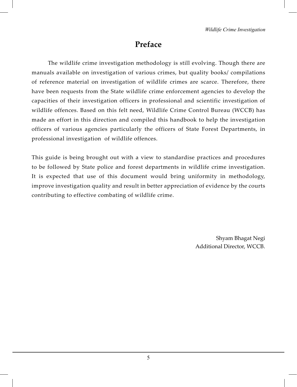# **Preface**

 The wildlife crime investigation methodology is still evolving. Though there are manuals available on investigation of various crimes, but quality books/ compilations of reference material on investigation of wildlife crimes are scarce. Therefore, there have been requests from the State wildlife crime enforcement agencies to develop the capacities of their investigation officers in professional and scientific investigation of wildlife offences. Based on this felt need, Wildlife Crime Control Bureau (WCCB) has made an effort in this direction and compiled this handbook to help the investigation officers of various agencies particularly the officers of State Forest Departments, in professional investigation of wildlife offences.

This guide is being brought out with a view to standardise practices and procedures to be followed by State police and forest departments in wildlife crime investigation. It is expected that use of this document would bring uniformity in methodology, improve investigation quality and result in better appreciation of evidence by the courts contributing to effective combating of wildlife crime.

> Shyam Bhagat Negi Additional Director, WCCB.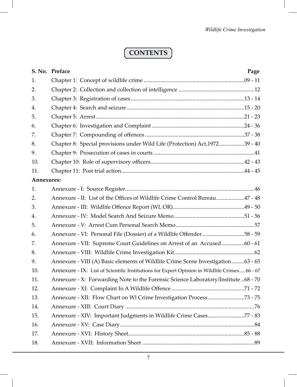# **CONTENTS**

|            | S. No. Preface<br>Page                                                                      |
|------------|---------------------------------------------------------------------------------------------|
| 1.         |                                                                                             |
| 2.         |                                                                                             |
| 3.         |                                                                                             |
| 4.         |                                                                                             |
| 5.         |                                                                                             |
| 6.         |                                                                                             |
| 7.         |                                                                                             |
| 8.         | Chapter 8: Special provisions under Wild Life (Protection) Act, 197239 - 40                 |
| 9.         |                                                                                             |
| 10.        |                                                                                             |
| 11.        |                                                                                             |
| Annexures: |                                                                                             |
| 1.         |                                                                                             |
| 2.         | Annexure - II: List of the Offices of Wildlife Crime Control Bureau47 - 48                  |
| 3.         |                                                                                             |
| 4.         |                                                                                             |
| 5.         |                                                                                             |
| 6.         | Annexure - VI: Personal File (Dossier) of a Wildlife Offender58 - 59                        |
| 7.         | Annexure - VII: Supreme Court Guidelines on Arrest of an Accused 60 - 61                    |
| 8.         |                                                                                             |
| 9.         | Annexure - VIII (A) Basic elements of Wildlife Crime Scene Investigation63 - 65             |
| 10.        | Annexure - IX: List of Scientific Institutions for Expert Opinion in Wildlife Crimes66 - 67 |
| 11.        | Annexure - X: Forwarding Note to the Forensic Science Laboratory/Institute 68 - 70          |
| 12.        |                                                                                             |
| 13.        |                                                                                             |
| 14.        |                                                                                             |
| 15.        | Annexure - XIV: Important Judgments in Wildlife Crime Cases77 - 83                          |
| 16.        |                                                                                             |
| 17.        |                                                                                             |
| 18.        |                                                                                             |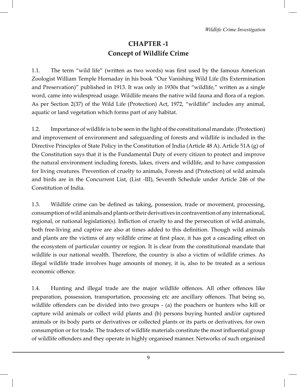# **CHAPTER -1 Concept of Wildlife Crime**

1.1. The term "wild life" (written as two words) was first used by the famous American Zoologist William Temple Hornaday in his book "Our Vanishing Wild Life (Its Extermination and Preservation)" published in 1913. It was only in 1930s that "wildlife," written as a single word, came into widespread usage. Wildlife means the native wild fauna and flora of a region. As per Section 2(37) of the Wild Life (Protection) Act, 1972, "wildlife" includes any animal, aquatic or land vegetation which forms part of any habitat.

1.2. Importance of wildlife is to be seen in the light of the constitutional mandate. (Protection) and improvement of environment and safeguarding of forests and wildlife is included in the Directive Principles of State Policy in the Constitution of India (Article 48 A). Article 51A (g) of the Constitution says that it is the Fundamental Duty of every citizen to protect and improve the natural environment including forests, lakes, rivers and wildlife, and to have compassion for living creatures. Prevention of cruelty to animals, Forests and (Protection) of wild animals and birds are in the Concurrent List, (List -III), Seventh Schedule under Article 246 of the Constitution of India.

1.3. Wildlife crime can be defined as taking, possession, trade or movement, processing, consumption of wild animals and plants or their derivatives in contravention of any international, regional, or national legislation(s). Infliction of cruelty to and the persecution of wild animals, both free-living and captive are also at times added to this definition. Though wild animals and plants are the victims of any wildlife crime at first place, it has got a cascading effect on the ecosystem of particular country or region. It is clear from the constitutional mandate that wildlife is our national wealth. Therefore, the country is also a victim of wildlife crimes. As illegal wildlife trade involves huge amounts of money, it is, also to be treated as a serious economic offence.

1.4. Hunting and illegal trade are the major wildlife offences. All other offences like preparation, possession, transportation, processing etc are ancillary offences. That being so, wildlife offenders can be divided into two groups - (a) the poachers or hunters who kill or capture wild animals or collect wild plants and (b) persons buying hunted and/or captured animals or its body parts or derivatives or collected plants or its parts or derivatives, for own consumption or for trade. The traders of wildlife materials constitute the most influential group of wildlife offenders and they operate in highly organised manner. Networks of such organised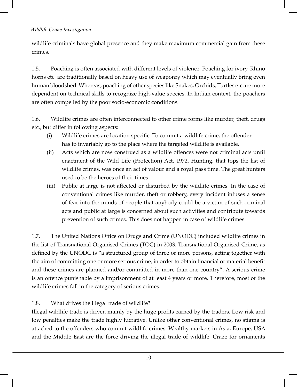wildlife criminals have global presence and they make maximum commercial gain from these crimes.

1.5. Poaching is often associated with different levels of violence. Poaching for ivory, Rhino horns etc. are traditionally based on heavy use of weaponry which may eventually bring even human bloodshed. Whereas, poaching of other species like Snakes, Orchids, Turtles etc are more dependent on technical skills to recognize high-value species. In Indian context, the poachers are often compelled by the poor socio-economic conditions.

1.6. Wildlife crimes are often interconnected to other crime forms like murder, theft, drugs etc., but differ in following aspects:

- (i) Wildlife crimes are location specific. To commit a wildlife crime, the offender has to invariably go to the place where the targeted wildlife is available.
- (ii) Acts which are now construed as a wildlife offences were not criminal acts until enactment of the Wild Life (Protection) Act, 1972. Hunting, that tops the list of wildlife crimes, was once an act of valour and a royal pass time. The great hunters used to be the heroes of their times.
- (iii) Public at large is not affected or disturbed by the wildlife crimes. In the case of conventional crimes like murder, theft or robbery, every incident infuses a sense of fear into the minds of people that anybody could be a victim of such criminal acts and public at large is concerned about such activities and contribute towards prevention of such crimes. This does not happen in case of wildlife crimes.

1.7. The United Nations Office on Drugs and Crime (UNODC) included wildlife crimes in the list of Transnational Organised Crimes (TOC) in 2003. Transnational Organised Crime, as defined by the UNODC is "a structured group of three or more persons, acting together with the aim of committing one or more serious crime, in order to obtain financial or material benefit and these crimes are planned and/or committed in more than one country". A serious crime is an offence punishable by a imprisonment of at least 4 years or more. Therefore, most of the wildlife crimes fall in the category of serious crimes.

1.8. What drives the illegal trade of wildlife?

Illegal wildlife trade is driven mainly by the huge profits earned by the traders. Low risk and low penalties make the trade highly lucrative. Unlike other conventional crimes, no stigma is attached to the offenders who commit wildlife crimes. Wealthy markets in Asia, Europe, USA and the Middle East are the force driving the illegal trade of wildlife. Craze for ornaments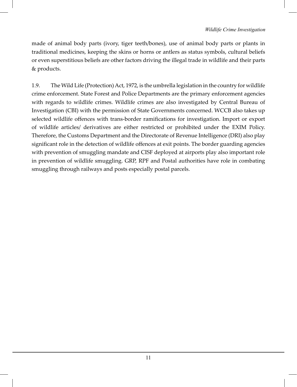made of animal body parts (ivory, tiger teeth/bones), use of animal body parts or plants in traditional medicines, keeping the skins or horns or antlers as status symbols, cultural beliefs or even superstitious beliefs are other factors driving the illegal trade in wildlife and their parts & products.

1.9. The Wild Life (Protection) Act, 1972, is the umbrella legislation in the country for wildlife crime enforcement. State Forest and Police Departments are the primary enforcement agencies with regards to wildlife crimes. Wildlife crimes are also investigated by Central Bureau of Investigation (CBI) with the permission of State Governments concerned. WCCB also takes up selected wildlife offences with trans-border ramifications for investigation. Import or export of wildlife articles/ derivatives are either restricted or prohibited under the EXIM Policy. Therefore, the Customs Department and the Directorate of Revenue Intelligence (DRI) also play significant role in the detection of wildlife offences at exit points. The border guarding agencies with prevention of smuggling mandate and CISF deployed at airports play also important role in prevention of wildlife smuggling. GRP, RPF and Postal authorities have role in combating smuggling through railways and posts especially postal parcels.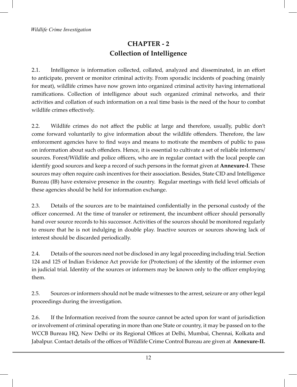# **CHAPTER - 2 Collection of Intelligence**

2.1. Intelligence is information collected, collated, analyzed and disseminated, in an effort to anticipate, prevent or monitor criminal activity. From sporadic incidents of poaching (mainly for meat), wildlife crimes have now grown into organized criminal activity having international ramifications. Collection of intelligence about such organized criminal networks, and their activities and collation of such information on a real time basis is the need of the hour to combat wildlife crimes effectively.

2.2. Wildlife crimes do not affect the public at large and therefore, usually, public don't come forward voluntarily to give information about the wildlife offenders. Therefore, the law enforcement agencies have to find ways and means to motivate the members of public to pass on information about such offenders. Hence, it is essential to cultivate a set of reliable informers/ sources. Forest/Wildlife and police officers, who are in regular contact with the local people can identify good sources and keep a record of such persons in the format given at **Annexure-I**. These sources may often require cash incentives for their association. Besides, State CID and Intelligence Bureau (IB) have extensive presence in the country. Regular meetings with field level officials of these agencies should be held for information exchange.

2.3. Details of the sources are to be maintained confidentially in the personal custody of the officer concerned. At the time of transfer or retirement, the incumbent officer should personally hand over source records to his successor. Activities of the sources should be monitored regularly to ensure that he is not indulging in double play. Inactive sources or sources showing lack of interest should be discarded periodically.

2.4. Details of the sources need not be disclosed in any legal proceeding including trial. Section 124 and 125 of Indian Evidence Act provide for (Protection) of the identity of the informer even in judicial trial. Identity of the sources or informers may be known only to the officer employing them.

2.5. Sources or informers should not be made witnesses to the arrest, seizure or any other legal proceedings during the investigation.

2.6. If the Information received from the source cannot be acted upon for want of jurisdiction or involvement of criminal operating in more than one State or country, it may be passed on to the WCCB Bureau HQ, New Delhi or its Regional Offices at Delhi, Mumbai, Chennai, Kolkata and Jabalpur. Contact details of the offices of Wildlife Crime Control Bureau are given at **Annexure-II.**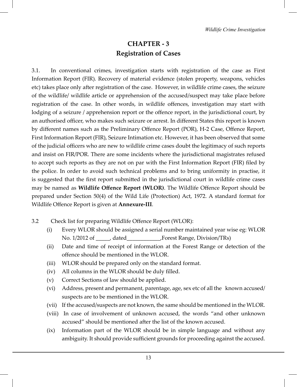## **CHAPTER - 3 Registration of Cases**

3.1. In conventional crimes, investigation starts with registration of the case as First Information Report (FIR). Recovery of material evidence (stolen property, weapons, vehicles etc) takes place only after registration of the case. However, in wildlife crime cases, the seizure of the wildlife/ wildlife article or apprehension of the accused/suspect may take place before registration of the case. In other words, in wildlife offences, investigation may start with lodging of a seizure / apprehension report or the offence report, in the jurisdictional court, by an authorised officer, who makes such seizure or arrest. In different States this report is known by different names such as the Preliminary Offence Report (POR), H-2 Case, Offence Report, First Information Report (FIR), Seizure Intimation etc. However, it has been observed that some of the judicial officers who are new to wildlife crime cases doubt the legitimacy of such reports and insist on FIR/POR. There are some incidents where the jurisdictional magistrates refused to accept such reports as they are not on par with the First Information Report (FIR) filed by the police. In order to avoid such technical problems and to bring uniformity in practise, it is suggested that the first report submitted in the jurisdictional court in wildlife crime cases may be named as **Wildlife Offence Report (WLOR)**. The Wildlife Offence Report should be prepared under Section 50(4) of the Wild Life (Protection) Act, 1972. A standard format for Wildlife Offence Report is given at **Annexure-III**.

- 3.2 Check list for preparing Wildlife Offence Report (WLOR):
	- (i) Every WLOR should be assigned a serial number maintained year wise eg: WLOR No. 1/2012 of dated Forest Range, Division/TRs)
	- (ii) Date and time of receipt of information at the Forest Range or detection of the offence should be mentioned in the WLOR.
	- (iii) WLOR should be prepared only on the standard format.
	- (iv) All columns in the WLOR should be duly filled.
	- (v) Correct Sections of law should be applied.
	- (vi) Address, present and permanent, parentage, age, sex etc of all the known accused/ suspects are to be mentioned in the WLOR.
	- (vii) If the accused/suspects are not known, the same should be mentioned in the WLOR.
	- (viii) In case of involvement of unknown accused, the words "and other unknown accused" should be mentioned after the list of the known accused.
	- (ix) Information part of the WLOR should be in simple language and without any ambiguity. It should provide sufficient grounds for proceeding against the accused.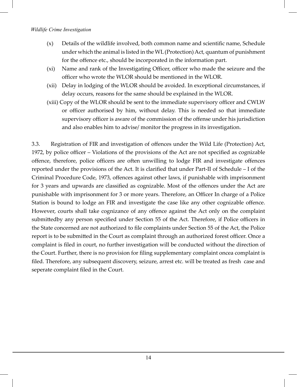- (x) Details of the wildlife involved, both common name and scientific name, Schedule under which the animal is listed in the WL (Protection) Act, quantum of punishment for the offence etc., should be incorporated in the information part.
- (xi) Name and rank of the Investigating Officer, officer who made the seizure and the officer who wrote the WLOR should be mentioned in the WLOR.
- (xii) Delay in lodging of the WLOR should be avoided. In exceptional circumstances, if delay occurs, reasons for the same should be explained in the WLOR.
- (xiii) Copy of the WLOR should be sent to the immediate supervisory officer and CWLW or officer authorised by him, without delay. This is needed so that immediate supervisory officer is aware of the commission of the offense under his jurisdiction and also enables him to advise/ monitor the progress in its investigation.

3.3. Registration of FIR and investigation of offences under the Wild Life (Protection) Act, 1972, by police officer – Violations of the provisions of the Act are not specified as cognizable offence, therefore, police officers are often unwilling to lodge FIR and investigate offences reported under the provisions of the Act. It is clarified that under Part-II of Schedule – I of the Criminal Procedure Code, 1973, offences against other laws, if punishable with imprisonment for 3 years and upwards are classified as cognizable. Most of the offences under the Act are punishable with imprisonment for 3 or more years. Therefore, an Officer In charge of a Police Station is bound to lodge an FIR and investigate the case like any other cognizable offence. However, courts shall take cognizance of any offence against the Act only on the complaint submittedby any person specified under Section 55 of the Act. Therefore, if Police officers in the State concerned are not authorized to file complaints under Section 55 of the Act, the Police report is to be submitted in the Court as complaint through an authorized forest officer. Once a complaint is filed in court, no further investigation will be conducted without the direction of the Court. Further, there is no provision for filing supplementary complaint oncea complaint is filed. Therefore, any subsequent discovery, seizure, arrest etc. will be treated as fresh case and seperate complaint filed in the Court.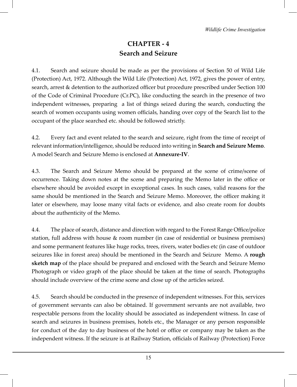# **CHAPTER - 4 Search and Seizure**

4.1. Search and seizure should be made as per the provisions of Section 50 of Wild Life (Protection) Act, 1972. Although the Wild Life (Protection) Act, 1972, gives the power of entry, search, arrest & detention to the authorized officer but procedure prescribed under Section 100 of the Code of Criminal Procedure (Cr.PC), like conducting the search in the presence of two independent witnesses, preparing a list of things seized during the search, conducting the search of women occupants using women officials, handing over copy of the Search list to the occupant of the place searched etc. should be followed strictly.

4.2. Every fact and event related to the search and seizure, right from the time of receipt of relevant information/intelligence, should be reduced into writing in **Search and Seizure Memo**. A model Search and Seizure Memo is enclosed at **Annexure-IV**.

4.3. The Search and Seizure Memo should be prepared at the scene of crime/scene of occurrence. Taking down notes at the scene and preparing the Memo later in the office or elsewhere should be avoided except in exceptional cases. In such cases, valid reasons for the same should be mentioned in the Search and Seizure Memo. Moreover, the officer making it later or elsewhere, may loose many vital facts or evidence, and also create room for doubts about the authenticity of the Memo.

4.4. The place of search, distance and direction with regard to the Forest Range Office/police station, full address with house & room number (in case of residential or business premises) and some permanent features like huge rocks, trees, rivers, water bodies etc (in case of outdoor seizures like in forest area) should be mentioned in the Search and Seizure Memo. A **rough sketch map** of the place should be prepared and enclosed with the Search and Seizure Memo Photograph or video graph of the place should be taken at the time of search. Photographs should include overview of the crime scene and close up of the articles seized.

4.5. Search should be conducted in the presence of independent witnesses. For this, services of government servants can also be obtained. If government servants are not available, two respectable persons from the locality should be associated as independent witness. In case of search and seizures in business premises, hotels etc., the Manager or any person responsible for conduct of the day to day business of the hotel or office or company may be taken as the independent witness. If the seizure is at Railway Station, officials of Railway (Protection) Force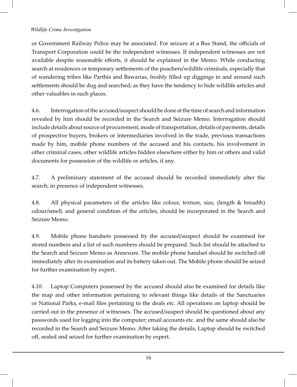or Government Railway Police may be associated. For seizure at a Bus Stand, the officials of Transport Corporation could be the independent witnesses. If independent witnesses are not available despite reasonable efforts, it should be explained in the Memo. While conducting search at residences or temporary settlements of the poachers/wildlife criminals, especially that of wandering tribes like Parthis and Bawarias, freshly filled up diggings in and around such settlements should be dug and searched; as they have the tendency to hide wildlife articles and other valuables in such places.

4.6. Interrogation of the accused/suspect should be done at the time of search and information revealed by him should be recorded in the Search and Seizure Memo. Interrogation should include details about source of procurement, mode of transportation, details of payments, details of prospective buyers, brokers or intermediaries involved in the trade, previous transactions made by him, mobile phone numbers of the accused and his contacts, his involvement in other criminal cases, other wildlife articles hidden elsewhere either by him or others and valid documents for possession of the wildlife or articles, if any.

4.7. A preliminary statement of the accused should be recorded immediately after the search, in presence of independent witnesses.

4.8. All physical parameters of the articles like colour, texture, size, (length & breadth) odour/smell, and general condition of the articles, should be incorporated in the Search and Seizure Memo.

4.9. Mobile phone handsets possessed by the accused/suspect should be examined for stored numbers and a list of such numbers should be prepared. Such list should be attached to the Search and Seizure Memo as Annexure. The mobile phone handset should be switched off immediately after its examination and its battery taken out. The Mobile phone should be seized for further examination by expert.

4.10. Laptop Computers possessed by the accused should also be examined for details like the map and other information pertaining to relevant things like details of the Sanctuaries or National Parks, e-mail files pertaining to the deals etc. All operations on laptop should be carried out in the presence of witnesses. The accused/suspect should be questioned about any passwords used for logging into the computer; email accounts etc. and the same should also be recorded in the Search and Seizure Memo. After taking the details, Laptop should be switched off, sealed and seized for further examination by expert.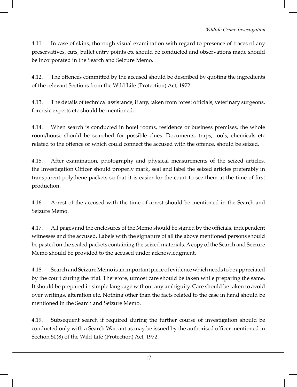4.11. In case of skins, thorough visual examination with regard to presence of traces of any preservatives, cuts, bullet entry points etc should be conducted and observations made should be incorporated in the Search and Seizure Memo.

4.12. The offences committed by the accused should be described by quoting the ingredients of the relevant Sections from the Wild Life (Protection) Act, 1972.

4.13. The details of technical assistance, if any, taken from forest officials, veterinary surgeons, forensic experts etc should be mentioned.

4.14. When search is conducted in hotel rooms, residence or business premises, the whole room/house should be searched for possible clues. Documents, traps, tools, chemicals etc related to the offence or which could connect the accused with the offence, should be seized.

4.15. After examination, photography and physical measurements of the seized articles, the Investigation Officer should properly mark, seal and label the seized articles preferably in transparent polythene packets so that it is easier for the court to see them at the time of first production.

4.16. Arrest of the accused with the time of arrest should be mentioned in the Search and Seizure Memo.

4.17. All pages and the enclosures of the Memo should be signed by the officials, independent witnesses and the accused. Labels with the signature of all the above mentioned persons should be pasted on the sealed packets containing the seized materials. A copy of the Search and Seizure Memo should be provided to the accused under acknowledgment.

4.18. Search and Seizure Memo is an important piece of evidence which needs to be appreciated by the court during the trial. Therefore, utmost care should be taken while preparing the same. It should be prepared in simple language without any ambiguity. Care should be taken to avoid over writings, alteration etc. Nothing other than the facts related to the case in hand should be mentioned in the Search and Seizure Memo.

4.19. Subsequent search if required during the further course of investigation should be conducted only with a Search Warrant as may be issued by the authorised officer mentioned in Section 50(8) of the Wild Life (Protection) Act, 1972.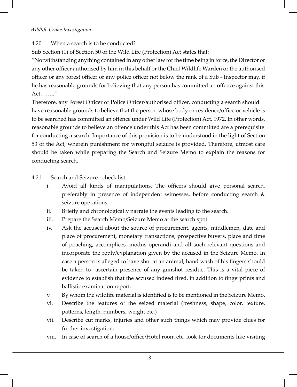## 4.20. When a search is to be conducted?

Sub Section (1) of Section 50 of the Wild Life (Protection) Act states that:

"Notwithstanding anything contained in any other law for the time being in force, the Director or any other officer authorised by him in this behalf or the Chief Wildlife Warden or the authorised officer or any forest officer or any police officer not below the rank of a Sub - Inspector may, if he has reasonable grounds for believing that any person has committed an offence against this Act…….."

Therefore, any Forest Officer or Police Officer/authorised officer, conducting a search should have reasonable grounds to believe that the person whose body or residence/office or vehicle is to be searched has committed an offence under Wild Life (Protection) Act, 1972. In other words, reasonable grounds to believe an offence under this Act has been committed are a prerequisite for conducting a search. Importance of this provision is to be understood in the light of Section 53 of the Act, wherein punishment for wrongful seizure is provided. Therefore, utmost care should be taken while preparing the Search and Seizure Memo to explain the reasons for conducting search.

4.21. Search and Seizure - check list

- i. Avoid all kinds of manipulations. The officers should give personal search, preferably in presence of independent witnesses, before conducting search & seizure operations.
- ii. Briefly and chronologically narrate the events leading to the search.
- iii. Prepare the Search Memo/Seizure Memo at the search spot.
- iv. Ask the accused about the source of procurement, agents, middlemen, date and place of procurement, monetary transactions, prospective buyers, place and time of poaching, accomplices, modus operandi and all such relevant questions and incorporate the reply/explanation given by the accused in the Seizure Memo. In case a person is alleged to have shot at an animal, hand wash of his fingers should be taken to ascertain presence of any gunshot residue. This is a vital piece of evidence to establish that the accused indeed fired, in addition to fingerprints and ballistic examination report.
- v. By whom the wildlife material is identified is to be mentioned in the Seizure Memo.
- vi. Describe the features of the seized material (freshness, shape, color, texture, patterns, length, numbers, weight etc.)
- vii. Describe cut marks, injuries and other such things which may provide clues for further investigation.
- viii. In case of search of a house/office/Hotel room etc, look for documents like visiting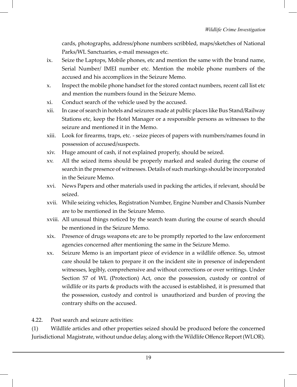cards, photographs, address/phone numbers scribbled, maps/sketches of National Parks/WL Sanctuaries, e-mail messages etc.

- ix. Seize the Laptops, Mobile phones, etc and mention the same with the brand name, Serial Number/ IMEI number etc. Mention the mobile phone numbers of the accused and his accomplices in the Seizure Memo.
- x. Inspect the mobile phone handset for the stored contact numbers, recent call list etc and mention the numbers found in the Seizure Memo.
- xi. Conduct search of the vehicle used by the accused.
- xii. In case of search in hotels and seizures made at public places like Bus Stand/Railway Stations etc, keep the Hotel Manager or a responsible persons as witnesses to the seizure and mentioned it in the Memo.
- xiii. Look for firearms, traps, etc. seize pieces of papers with numbers/names found in possession of accused/suspects.
- xiv. Huge amount of cash, if not explained properly, should be seized.
- xv. All the seized items should be properly marked and sealed during the course of search in the presence of witnesses. Details of such markings should be incorporated in the Seizure Memo.
- xvi. News Papers and other materials used in packing the articles, if relevant, should be seized.
- xvii. While seizing vehicles, Registration Number, Engine Number and Chassis Number are to be mentioned in the Seizure Memo.
- xviii. All unusual things noticed by the search team during the course of search should be mentioned in the Seizure Memo.
- xix. Presence of drugs weapons etc are to be promptly reported to the law enforcement agencies concerned after mentioning the same in the Seizure Memo.
- xx. Seizure Memo is an important piece of evidence in a wildlife offence. So, utmost care should be taken to prepare it on the incident site in presence of independent witnesses, legibly, comprehensive and without corrections or over writings. Under Section 57 of WL (Protection) Act, once the possession, custody or control of wildlife or its parts & products with the accused is established, it is presumed that the possession, custody and control is unauthorized and burden of proving the contrary shifts on the accused.

4.22. Post search and seizure activities:

(1) Wildlife articles and other properties seized should be produced before the concerned Jurisdictional Magistrate, without undue delay, along with the Wildlife Offence Report (WLOR).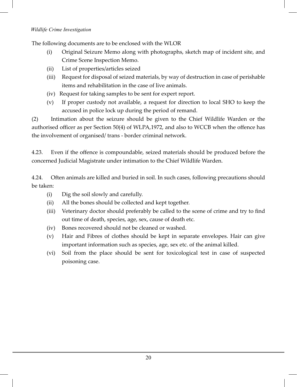The following documents are to be enclosed with the WLOR

- (i) Original Seizure Memo along with photographs, sketch map of incident site, and Crime Scene Inspection Memo.
- (ii) List of properties/articles seized
- (iii) Request for disposal of seized materials, by way of destruction in case of perishable items and rehabilitation in the case of live animals.
- (iv) Request for taking samples to be sent for expert report.
- (v) If proper custody not available, a request for direction to local SHO to keep the accused in police lock up during the period of remand.

(2) Intimation about the seizure should be given to the Chief Wildlife Warden or the authorised officer as per Section 50(4) of WLPA,1972, and also to WCCB when the offence has the involvement of organised/ trans - border criminal network.

4.23. Even if the offence is compoundable, seized materials should be produced before the concerned Judicial Magistrate under intimation to the Chief Wildlife Warden.

4.24. Often animals are killed and buried in soil. In such cases, following precautions should be taken:

- (i) Dig the soil slowly and carefully.
- (ii) All the bones should be collected and kept together.
- (iii) Veterinary doctor should preferably be called to the scene of crime and try to find out time of death, species, age, sex, cause of death etc.
- (iv) Bones recovered should not be cleaned or washed.
- (v) Hair and Fibres of clothes should be kept in separate envelopes. Hair can give important information such as species, age, sex etc. of the animal killed.
- (vi) Soil from the place should be sent for toxicological test in case of suspected poisoning case.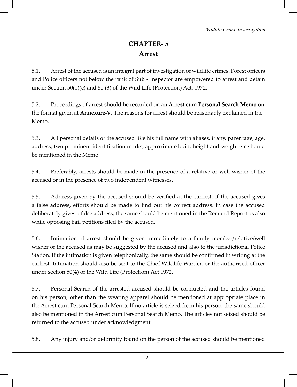# **CHAPTER- 5 Arrest**

5.1. Arrest of the accused is an integral part of investigation of wildlife crimes. Forest officers and Police officers not below the rank of Sub - Inspector are empowered to arrest and detain under Section 50(1)(c) and 50 (3) of the Wild Life (Protection) Act, 1972.

5.2. Proceedings of arrest should be recorded on an **Arrest cum Personal Search Memo** on the format given at **Annexure-V**. The reasons for arrest should be reasonably explained in the Memo.

5.3. All personal details of the accused like his full name with aliases, if any, parentage, age, address, two prominent identification marks, approximate built, height and weight etc should be mentioned in the Memo.

5.4. Preferably, arrests should be made in the presence of a relative or well wisher of the accused or in the presence of two independent witnesses.

5.5. Address given by the accused should be verified at the earliest. If the accused gives a false address, efforts should be made to find out his correct address. In case the accused deliberately gives a false address, the same should be mentioned in the Remand Report as also while opposing bail petitions filed by the accused.

5.6. Intimation of arrest should be given immediately to a family member/relative/well wisher of the accused as may be suggested by the accused and also to the jurisdictional Police Station. If the intimation is given telephonically, the same should be confirmed in writing at the earliest. Intimation should also be sent to the Chief Wildlife Warden or the authorised officer under section 50(4) of the Wild Life (Protection) Act 1972.

5.7. Personal Search of the arrested accused should be conducted and the articles found on his person, other than the wearing apparel should be mentioned at appropriate place in the Arrest cum Personal Search Memo. If no article is seized from his person, the same should also be mentioned in the Arrest cum Personal Search Memo. The articles not seized should be returned to the accused under acknowledgment.

5.8. Any injury and/or deformity found on the person of the accused should be mentioned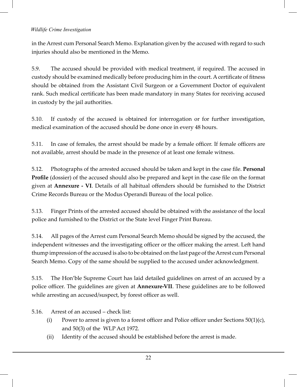in the Arrest cum Personal Search Memo. Explanation given by the accused with regard to such injuries should also be mentioned in the Memo.

5.9. The accused should be provided with medical treatment, if required. The accused in custody should be examined medically before producing him in the court. A certificate of fitness should be obtained from the Assistant Civil Surgeon or a Government Doctor of equivalent rank. Such medical certificate has been made mandatory in many States for receiving accused in custody by the jail authorities.

5.10. If custody of the accused is obtained for interrogation or for further investigation, medical examination of the accused should be done once in every 48 hours.

5.11. In case of females, the arrest should be made by a female officer. If female officers are not available, arrest should be made in the presence of at least one female witness.

5.12. Photographs of the arrested accused should be taken and kept in the case file. **Personal Profile** (dossier) of the accused should also be prepared and kept in the case file on the format given at **Annexure - VI**. Details of all habitual offenders should be furnished to the District Crime Records Bureau or the Modus Operandi Bureau of the local police.

5.13. Finger Prints of the arrested accused should be obtained with the assistance of the local police and furnished to the District or the State level Finger Print Bureau.

5.14. All pages of the Arrest cum Personal Search Memo should be signed by the accused, the independent witnesses and the investigating officer or the officer making the arrest. Left hand thump impression of the accused is also to be obtained on the last page of the Arrest cum Personal Search Memo. Copy of the same should be supplied to the accused under acknowledgment.

5.15. The Hon'ble Supreme Court has laid detailed guidelines on arrest of an accused by a police officer. The guidelines are given at **Annexure-VII**. These guidelines are to be followed while arresting an accused/suspect, by forest officer as well.

5.16. Arrest of an accused – check list:

- (i) Power to arrest is given to a forest officer and Police officer under Sections  $50(1)(c)$ , and 50(3) of the WLP Act 1972.
- (ii) Identity of the accused should be established before the arrest is made.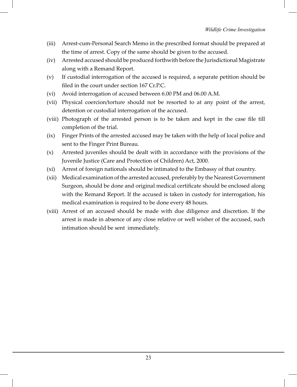- (iii) Arrest-cum-Personal Search Memo in the prescribed format should be prepared at the time of arrest. Copy of the same should be given to the accused.
- (iv) Arrested accused should be produced forthwith before the Jurisdictional Magistrate along with a Remand Report.
- (v) If custodial interrogation of the accused is required, a separate petition should be filed in the court under section 167 Cr.P.C.
- (vi) Avoid interrogation of accused between 6.00 PM and 06.00 A.M.
- (vii) Physical coercion/torture should not be resorted to at any point of the arrest, detention or custodial interrogation of the accused.
- (viii) Photograph of the arrested person is to be taken and kept in the case file till completion of the trial.
- (ix) Finger Prints of the arrested accused may be taken with the help of local police and sent to the Finger Print Bureau.
- (x) Arrested juveniles should be dealt with in accordance with the provisions of the Juvenile Justice (Care and Protection of Children) Act, 2000.
- (xi) Arrest of foreign nationals should be intimated to the Embassy of that country.
- (xii) Medical examination of the arrested accused, preferably by the Nearest Government Surgeon, should be done and original medical certificate should be enclosed along with the Remand Report. If the accused is taken in custody for interrogation, his medical examination is required to be done every 48 hours.
- (xiii) Arrest of an accused should be made with due diligence and discretion. If the arrest is made in absence of any close relative or well wisher of the accused, such intimation should be sent immediately.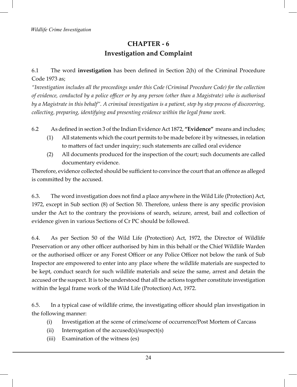## **CHAPTER - 6 Investigation and Complaint**

## 6.1 The word **investigation** has been defined in Section 2(h) of the Criminal Procedure Code 1973 as;

*"Investigation includes all the proceedings under this Code (Criminal Procedure Code) for the collection of evidence, conducted by a police officer or by any person (other than a Magistrate) who is authorised by a Magistrate in this behalf". A criminal investigation is a patient, step by step process of discovering, collecting, preparing, identifying and presenting evidence within the legal frame work.*

6.2 As defined in section 3 of the Indian Evidence Act 1872, **"Evidence"** means and includes;

- (1) All statements which the court permits to be made before it by witnesses, in relation to matters of fact under inquiry; such statements are called oral evidence
- (2) All documents produced for the inspection of the court; such documents are called documentary evidence.

Therefore, evidence collected should be sufficient to convince the court that an offence as alleged is committed by the accused.

6.3. The word investigation does not find a place anywhere in the Wild Life (Protection) Act, 1972, except in Sub section (8) of Section 50. Therefore, unless there is any specific provision under the Act to the contrary the provisions of search, seizure, arrest, bail and collection of evidence given in various Sections of Cr PC should be followed.

6.4. As per Section 50 of the Wild Life (Protection) Act, 1972, the Director of Wildlife Preservation or any other officer authorised by him in this behalf or the Chief Wildlife Warden or the authorised officer or any Forest Officer or any Police Officer not below the rank of Sub Inspector are empowered to enter into any place where the wildlife materials are suspected to be kept, conduct search for such wildlife materials and seize the same, arrest and detain the accused or the suspect. It is to be understood that all the actions together constitute investigation within the legal frame work of the Wild Life (Protection) Act, 1972.

6.5. In a typical case of wildlife crime, the investigating officer should plan investigation in the following manner:

- (i) Investigation at the scene of crime/scene of occurrence/Post Mortem of Carcass
- (ii) Interrogation of the accused(s)/suspect(s)
- (iii) Examination of the witness (es)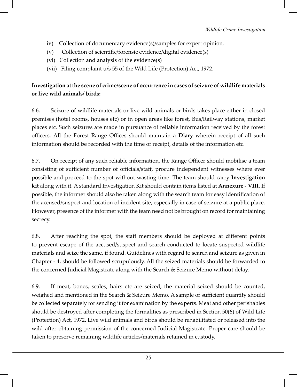- iv) Collection of documentary evidence(s)/samples for expert opinion.
- (v) Collection of scientific/forensic evidence/digital evidence(s)
- (vi) Collection and analysis of the evidence(s)
- (vii) Filing complaint u/s 55 of the Wild Life (Protection) Act, 1972.

## **Investigation at the scene of crime/scene of occurrence in cases of seizure of wildlife materials or live wild animals/ birds:**

6.6. Seizure of wildlife materials or live wild animals or birds takes place either in closed premises (hotel rooms, houses etc) or in open areas like forest, Bus/Railway stations, market places etc. Such seizures are made in pursuance of reliable information received by the forest officers. All the Forest Range Offices should maintain a **Diary** wherein receipt of all such information should be recorded with the time of receipt, details of the information etc.

6.7. On receipt of any such reliable information, the Range Officer should mobilise a team consisting of sufficient number of officials/staff, procure independent witnesses where ever possible and proceed to the spot without wasting time. The team should carry **Investigation kit** along with it. A standard Investigation Kit should contain items listed at **Annexure - VIII**. If possible, the informer should also be taken along with the search team for easy identification of the accused/suspect and location of incident site, especially in case of seizure at a public place. However, presence of the informer with the team need not be brought on record for maintaining secrecy.

6.8. After reaching the spot, the staff members should be deployed at different points to prevent escape of the accused/suspect and search conducted to locate suspected wildlife materials and seize the same, if found. Guidelines with regard to search and seizure as given in Chapter - 4, should be followed scrupulously. All the seized materials should be forwarded to the concerned Judicial Magistrate along with the Search & Seizure Memo without delay.

6.9. If meat, bones, scales, hairs etc are seized, the material seized should be counted, weighed and mentioned in the Search & Seizure Memo. A sample of sufficient quantity should be collected separately for sending it for examination by the experts. Meat and other perishables should be destroyed after completing the formalities as prescribed in Section 50(6) of Wild Life (Protection) Act, 1972. Live wild animals and birds should be rehabilitated or released into the wild after obtaining permission of the concerned Judicial Magistrate. Proper care should be taken to preserve remaining wildlife articles/materials retained in custody.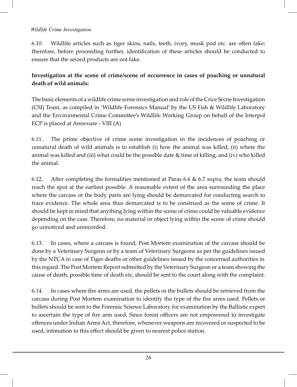6.10. Wildlife articles such as tiger skins, nails, teeth, ivory, musk pod etc. are often fake; therefore, before proceeding further, identification of these articles should be conducted to ensure that the seized products are not fake.

## **Investigation at the scene of crime/scene of occurrence in cases of poaching or unnatural death of wild animals:**

The basic elements of a wildlife crime scene investigation and role of the Crice Secne Investigation (CSI) Team, as compiled in 'Wildlife Forensics Manual' by the US Fish & Wildlife Laboratory and the Environmental Crime Committee's Wildlife Working Group on behalf of the Interpol ECP is placed at Annexure - VIII (A)

6.11. The prime objective of crime scene investigation in the incidences of poaching or unnatural death of wild animals is to establish (i) how the animal was killed, (ii) where the animal was killed and (iii) what could be the possible date & time of killing, and (iv) who killed the animal.

6.12. After completing the formalities mentioned at Paras 6.6 & 6.7 supra, the team should reach the spot at the earliest possible. A reasonable extent of the area surrounding the place where the carcass or the body parts are lying should be demarcated for conducting search to trace evidence. The whole area thus demarcated is to be construed as the scene of crime. It should be kept in mind that anything lying within the scene of crime could be valuable evidence depending on the case. Therefore, no material or object lying within the scene of crime should go unnoticed and unrecorded.

6.13. In cases, where a carcass is found, Post Mortem examination of the carcass should be done by a Veterinary Surgeon or by a team of Veterinary Surgeons as per the guidelines issued by the NTCA in case of Tiger deaths or other guidelines issued by the concerned authorities in this regard. The Post Mortem Report submitted by the Veterinary Surgeon or a team showing the cause of death, possible time of death etc, should be sent to the court along with the complaint.

6.14. In cases where fire arms are used, the pellets or the bullets should be retrieved from the carcass during Post Mortem examination to identify the type of the fire arms used. Pellets or bullets should be sent to the Forensic Science Laboratory for examination by the Ballistic expert to ascertain the type of fire arm used. Since forest officers are not empowered to investigate offences under Indian Arms Act, therefore, whenever weapons are recovered or suspected to be used, intimation to this effect should be given to nearest police station.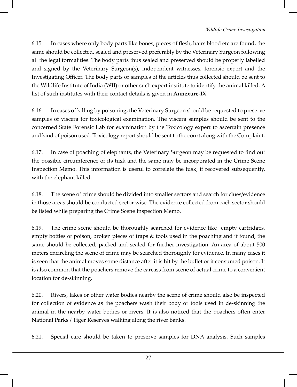6.15. In cases where only body parts like bones, pieces of flesh, hairs blood etc are found, the same should be collected, sealed and preserved preferably by the Veterinary Surgeon following all the legal formalities. The body parts thus sealed and preserved should be properly labelled and signed by the Veterinary Surgeon(s), independent witnesses, forensic expert and the Investigating Officer. The body parts or samples of the articles thus collected should be sent to the Wildlife Institute of India (WII) or other such expert institute to identify the animal killed. A list of such institutes with their contact details is given in **Annexure-IX**.

6.16. In cases of killing by poisoning, the Veterinary Surgeon should be requested to preserve samples of viscera for toxicological examination. The viscera samples should be sent to the concerned State Forensic Lab for examination by the Toxicology expert to ascertain presence and kind of poison used. Toxicology report should be sent to the court along with the Complaint.

6.17. In case of poaching of elephants, the Veterinary Surgeon may be requested to find out the possible circumference of its tusk and the same may be incorporated in the Crime Scene Inspection Memo. This information is useful to correlate the tusk, if recovered subsequently, with the elephant killed.

6.18. The scene of crime should be divided into smaller sectors and search for clues/evidence in those areas should be conducted sector wise. The evidence collected from each sector should be listed while preparing the Crime Scene Inspection Memo.

6.19. The crime scene should be thoroughly searched for evidence like empty cartridges, empty bottles of poison, broken pieces of traps & tools used in the poaching and if found, the same should be collected, packed and sealed for further investigation. An area of about 500 meters encircling the scene of crime may be searched thoroughly for evidence. In many cases it is seen that the animal moves some distance after it is hit by the bullet or it consumed poison. It is also common that the poachers remove the carcass from scene of actual crime to a convenient location for de-skinning.

6.20. Rivers, lakes or other water bodies nearby the scene of crime should also be inspected for collection of evidence as the poachers wash their body or tools used in de-skinning the animal in the nearby water bodies or rivers. It is also noticed that the poachers often enter National Parks / Tiger Reserves walking along the river banks.

6.21. Special care should be taken to preserve samples for DNA analysis. Such samples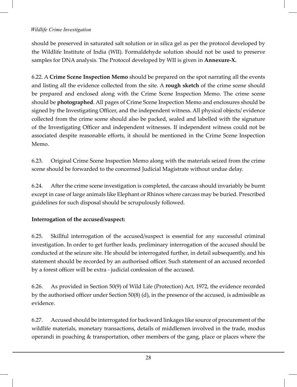should be preserved in saturated salt solution or in silica gel as per the protocol developed by the Wildlife Institute of India (WII). Formaldehyde solution should not be used to preserve samples for DNA analysis. The Protocol developed by WII is given in **Annexure-X.**

6.22. A **Crime Scene Inspection Memo** should be prepared on the spot narrating all the events and listing all the evidence collected from the site. A **rough sketch** of the crime scene should be prepared and enclosed along with the Crime Scene Inspection Memo. The crime scene should be **photographed**. All pages of Crime Scene Inspection Memo and enclosures should be signed by the Investigating Officer, and the independent witness. All physical objects/ evidence collected from the crime scene should also be packed, sealed and labelled with the signature of the Investigating Officer and independent witnesses. If independent witness could not be associated despite reasonable efforts, it should be mentioned in the Crime Scene Inspection Memo.

6.23. Original Crime Scene Inspection Memo along with the materials seized from the crime scene should be forwarded to the concerned Judicial Magistrate without undue delay.

6.24. After the crime scene investigation is completed, the carcass should invariably be burnt except in case of large animals like Elephant or Rhinos where carcass may be buried. Prescribed guidelines for such disposal should be scrupulously followed.

## **Interrogation of the accused/suspect:**

6.25. Skillful interrogation of the accused/suspect is essential for any successful criminal investigation. In order to get further leads, preliminary interrogation of the accused should be conducted at the seizure site. He should be interrogated further, in detail subsequently, and his statement should be recorded by an authorised officer. Such statement of an accused recorded by a forest officer will be extra - judicial confession of the accused.

6.26. As provided in Section 50(9) of Wild Life (Protection) Act, 1972, the evidence recorded by the authorised officer under Section 50(8) (d), in the presence of the accused, is admissible as evidence.

6.27. Accused should be interrogated for backward linkages like source of procurement of the wildlife materials, monetary transactions, details of middlemen involved in the trade, modus operandi in poaching & transportation, other members of the gang, place or places where the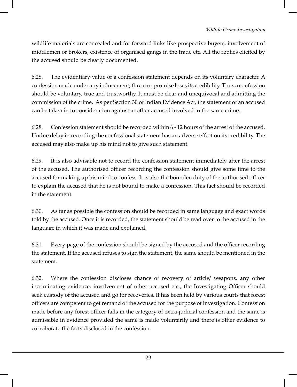wildlife materials are concealed and for forward links like prospective buyers, involvement of middlemen or brokers, existence of organised gangs in the trade etc. All the replies elicited by the accused should be clearly documented.

6.28. The evidentiary value of a confession statement depends on its voluntary character. A confession made under any inducement, threat or promise loses its credibility. Thus a confession should be voluntary, true and trustworthy. It must be clear and unequivocal and admitting the commission of the crime. As per Section 30 of Indian Evidence Act, the statement of an accused can be taken in to consideration against another accused involved in the same crime.

6.28. Confession statement should be recorded within 6 - 12 hours of the arrest of the accused. Undue delay in recording the confessional statement has an adverse effect on its credibility. The accused may also make up his mind not to give such statement.

6.29. It is also advisable not to record the confession statement immediately after the arrest of the accused. The authorised officer recording the confession should give some time to the accused for making up his mind to confess. It is also the bounden duty of the authorised officer to explain the accused that he is not bound to make a confession. This fact should be recorded in the statement.

6.30. As far as possible the confession should be recorded in same language and exact words told by the accused. Once it is recorded, the statement should be read over to the accused in the language in which it was made and explained.

6.31. Every page of the confession should be signed by the accused and the officer recording the statement. If the accused refuses to sign the statement, the same should be mentioned in the statement.

6.32. Where the confession discloses chance of recovery of article/ weapons, any other incriminating evidence, involvement of other accused etc., the Investigating Officer should seek custody of the accused and go for recoveries. It has been held by various courts that forest officers are competent to get remand of the accused for the purpose of investigation. Confession made before any forest officer falls in the category of extra-judicial confession and the same is admissible in evidence provided the same is made voluntarily and there is other evidence to corroborate the facts disclosed in the confession.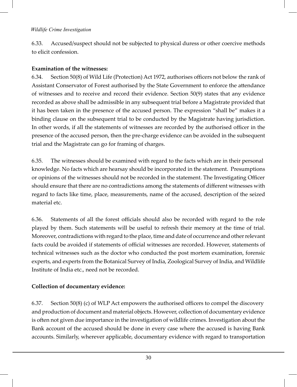6.33. Accused/suspect should not be subjected to physical duress or other coercive methods to elicit confession.

## **Examination of the witnesses:**

6.34. Section 50(8) of Wild Life (Protection) Act 1972, authorises officers not below the rank of Assistant Conservator of Forest authorised by the State Government to enforce the attendance of witnesses and to receive and record their evidence. Section 50(9) states that any evidence recorded as above shall be admissible in any subsequent trial before a Magistrate provided that it has been taken in the presence of the accused person. The expression "shall be" makes it a binding clause on the subsequent trial to be conducted by the Magistrate having jurisdiction. In other words, if all the statements of witnesses are recorded by the authorised officer in the presence of the accused person, then the pre-charge evidence can be avoided in the subsequent trial and the Magistrate can go for framing of charges.

6.35. The witnesses should be examined with regard to the facts which are in their personal knowledge. No facts which are hearsay should be incorporated in the statement. Presumptions or opinions of the witnesses should not be recorded in the statement. The Investigating Officer should ensure that there are no contradictions among the statements of different witnesses with regard to facts like time, place, measurements, name of the accused, description of the seized material etc.

6.36. Statements of all the forest officials should also be recorded with regard to the role played by them. Such statements will be useful to refresh their memory at the time of trial. Moreover, contradictions with regard to the place, time and date of occurrence and other relevant facts could be avoided if statements of official witnesses are recorded. However, statements of technical witnesses such as the doctor who conducted the post mortem examination, forensic experts, and experts from the Botanical Survey of India, Zoological Survey of India, and Wildlife Institute of India etc., need not be recorded.

## **Collection of documentary evidence:**

6.37. Section 50(8) (c) of WLP Act empowers the authorised officers to compel the discovery and production of document and material objects. However, collection of documentary evidence is often not given due importance in the investigation of wildlife crimes. Investigation about the Bank account of the accused should be done in every case where the accused is having Bank accounts. Similarly, wherever applicable, documentary evidence with regard to transportation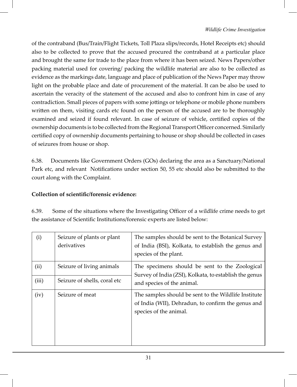of the contraband (Bus/Train/Flight Tickets, Toll Plaza slips/records, Hotel Receipts etc) should also to be collected to prove that the accused procured the contraband at a particular place and brought the same for trade to the place from where it has been seized. News Papers/other packing material used for covering/ packing the wildlife material are also to be collected as evidence as the markings date, language and place of publication of the News Paper may throw light on the probable place and date of procurement of the material. It can be also be used to ascertain the veracity of the statement of the accused and also to confront him in case of any contradiction. Small pieces of papers with some jottings or telephone or mobile phone numbers written on them, visiting cards etc found on the person of the accused are to be thoroughly examined and seized if found relevant. In case of seizure of vehicle, certified copies of the ownership documents is to be collected from the Regional Transport Officer concerned. Similarly certified copy of ownership documents pertaining to house or shop should be collected in cases of seizures from house or shop.

6.38. Documents like Government Orders (GOs) declaring the area as a Sanctuary/National Park etc, and relevant Notifications under section 50, 55 etc should also be submitted to the court along with the Complaint.

## **Collection of scientific/forensic evidence:**

| 6.39. | Some of the situations where the Investigating Officer of a wildlife crime needs to get |
|-------|-----------------------------------------------------------------------------------------|
|       | the assistance of Scientific Institutions/forensic experts are listed below:            |

| (i)   | Seizure of plants or plant<br>derivatives | The samples should be sent to the Botanical Survey<br>of India (BSI), Kolkata, to establish the genus and<br>species of the plant.     |
|-------|-------------------------------------------|----------------------------------------------------------------------------------------------------------------------------------------|
| (ii)  | Seizure of living animals                 | The specimens should be sent to the Zoological<br>Survey of India (ZSI), Kolkata, to establish the genus<br>and species of the animal. |
| (iii) | Seizure of shells, coral etc              |                                                                                                                                        |
| (iv)  | Seizure of meat                           | The samples should be sent to the Wildlife Institute<br>of India (WII), Dehradun, to confirm the genus and<br>species of the animal.   |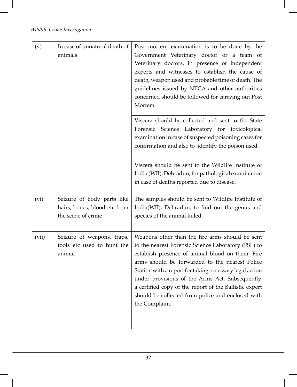| (v)   | In case of unnatural death of<br>animals                                         | Post mortem examination is to be done by the<br>Government Veterinary doctor or a team of<br>Veterinary doctors, in presence of independent<br>experts and witnesses to establish the cause of<br>death, weapon used and probable time of death. The<br>guidelines issued by NTCA and other authorities<br>concerned should be followed for carrying out Post<br>Mortem.                                                                                    |
|-------|----------------------------------------------------------------------------------|-------------------------------------------------------------------------------------------------------------------------------------------------------------------------------------------------------------------------------------------------------------------------------------------------------------------------------------------------------------------------------------------------------------------------------------------------------------|
|       |                                                                                  | Viscera should be collected and sent to the State<br>Forensic Science Laboratory for toxicological<br>examination in case of suspected poisoning cases for<br>confirmation and also to identify the poison used.                                                                                                                                                                                                                                            |
|       |                                                                                  | Viscera should be sent to the Wildlife Institute of<br>India (WII), Dehradun, for pathological examination<br>in case of deaths reported due to disease.                                                                                                                                                                                                                                                                                                    |
| (vi)  | Seizure of body parts like<br>hairs, bones, blood etc from<br>the scene of crime | The samples should be sent to Wildlife Institute of<br>India(WII), Dehradun, to find out the genus and<br>species of the animal killed.                                                                                                                                                                                                                                                                                                                     |
| (vii) | Seizure of weapons, traps,<br>tools etc used to hunt the<br>animal               | Weapons other than the fire arms should be sent<br>to the nearest Forensic Science Laboratory (FSL) to<br>establish presence of animal blood on them. Fire<br>arms should be forwarded to the nearest Police<br>Station with a report for taking necessary legal action<br>under provisions of the Arms Act. Subsequently,<br>a certified copy of the report of the Ballistic expert<br>should be collected from police and enclosed with<br>the Complaint. |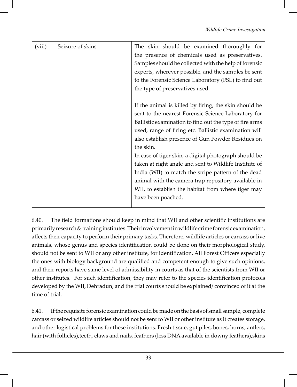| (viii) | Seizure of skins | The skin should be examined thoroughly for<br>the presence of chemicals used as preservatives.<br>Samples should be collected with the help of forensic<br>experts, wherever possible, and the samples be sent<br>to the Forensic Science Laboratory (FSL) to find out<br>the type of preservatives used.                                                                                                                                                                                                                                                                                                       |
|--------|------------------|-----------------------------------------------------------------------------------------------------------------------------------------------------------------------------------------------------------------------------------------------------------------------------------------------------------------------------------------------------------------------------------------------------------------------------------------------------------------------------------------------------------------------------------------------------------------------------------------------------------------|
|        |                  | If the animal is killed by firing, the skin should be<br>sent to the nearest Forensic Science Laboratory for<br>Ballistic examination to find out the type of fire arms<br>used, range of firing etc. Ballistic examination will<br>also establish presence of Gun Powder Residues on<br>the skin.<br>In case of tiger skin, a digital photograph should be<br>taken at right angle and sent to Wildlife Institute of<br>India (WII) to match the stripe pattern of the dead<br>animal with the camera trap repository available in<br>WII, to establish the habitat from where tiger may<br>have been poached. |

6.40. The field formations should keep in mind that WII and other scientific institutions are primarily research & training institutes. Their involvement in wildlife crime forensic examination, affects their capacity to perform their primary tasks. Therefore, wildlife articles or carcass or live animals, whose genus and species identification could be done on their morphological study, should not be sent to WII or any other institute, for identification. All Forest Officers especially the ones with biology background are qualified and competent enough to give such opinions, and their reports have same level of admissibility in courts as that of the scientists from WII or other institutes. For such identification, they may refer to the species identification protocols developed by the WII, Dehradun, and the trial courts should be explained/ convinced of it at the time of trial.

6.41. If the requisite forensic examination could be made on the basis of small sample, complete carcass or seized wildlife articles should not be sent to WII or other institute as it creates storage, and other logistical problems for these institutions. Fresh tissue, gut piles, bones, horns, antlers, hair (with follicles),teeth, claws and nails, feathers (less DNA available in downy feathers),skins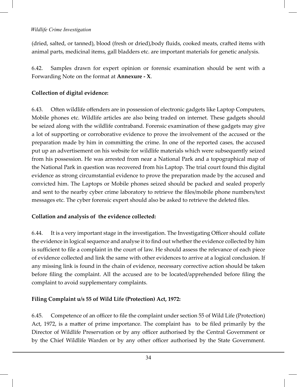(dried, salted, or tanned), blood (fresh or dried),body fluids, cooked meats, crafted items with animal parts, medicinal items, gall bladders etc. are important materials for genetic analysis.

6.42. Samples drawn for expert opinion or forensic examination should be sent with a Forwarding Note on the format at **Annexure - X**.

## **Collection of digital evidence:**

6.43. Often wildlife offenders are in possession of electronic gadgets like Laptop Computers, Mobile phones etc. Wildlife articles are also being traded on internet. These gadgets should be seized along with the wildlife contraband. Forensic examination of these gadgets may give a lot of supporting or corroborative evidence to prove the involvement of the accused or the preparation made by him in committing the crime. In one of the reported cases, the accused put up an advertisement on his website for wildlife materials which were subsequently seized from his possession. He was arrested from near a National Park and a topographical map of the National Park in question was recovered from his Laptop. The trial court found this digital evidence as strong circumstantial evidence to prove the preparation made by the accused and convicted him. The Laptops or Mobile phones seized should be packed and sealed properly and sent to the nearby cyber crime laboratory to retrieve the files/mobile phone numbers/text messages etc. The cyber forensic expert should also be asked to retrieve the deleted files.

## **Collation and analysis of the evidence collected:**

6.44. It is a very important stage in the investigation. The Investigating Officer should collate the evidence in logical sequence and analyse it to find out whether the evidence collected by him is sufficient to file a complaint in the court of law. He should assess the relevance of each piece of evidence collected and link the same with other evidences to arrive at a logical conclusion. If any missing link is found in the chain of evidence, necessary corrective action should be taken before filing the complaint. All the accused are to be located/apprehended before filing the complaint to avoid supplementary complaints.

## **Filing Complaint u/s 55 of Wild Life (Protection) Act, 1972:**

6.45. Competence of an officer to file the complaint under section 55 of Wild Life (Protection) Act, 1972, is a matter of prime importance. The complaint has to be filed primarily by the Director of Wildlife Preservation or by any officer authorised by the Central Government or by the Chief Wildlife Warden or by any other officer authorised by the State Government.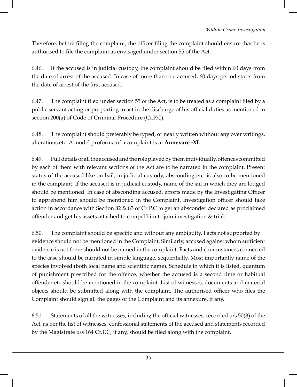Therefore, before filing the complaint, the officer filing the complaint should ensure that he is authorised to file the complaint as envisaged under section 55 of the Act.

6.46. If the accused is in judicial custody, the complaint should be filed within 60 days from the date of arrest of the accused. In case of more than one accused, 60 days period starts from the date of arrest of the first accused.

6.47. The complaint filed under section 55 of the Act, is to be treated as a complaint filed by a public servant acting or purporting to act in the discharge of his official duties as mentioned in section 200(a) of Code of Criminal Procedure (Cr.P.C).

6.48. The complaint should preferably be typed, or neatly written without any over writings, alterations etc. A model proforma of a complaint is at **Annexure -XI**.

6.49. Full details of all the accused and the role played by them individually, offences committed by each of them with relevant sections of the Act are to be narrated in the complaint. Present status of the accused like on bail, in judicial custody, absconding etc. is also to be mentioned in the complaint. If the accused is in judicial custody, name of the jail in which they are lodged should be mentioned. In case of absconding accused, efforts made by the Investigating Officer to apprehend him should be mentioned in the Complaint. Investigation officer should take action in accordance with Section 82 & 83 of Cr P.C to get an absconder declared as proclaimed offender and get his assets attached to compel him to join investigation & trial.

6.50. The complaint should be specific and without any ambiguity. Facts not supported by evidence should not be mentioned in the Complaint. Similarly, accused against whom sufficient evidence is not there should not be named in the complaint. Facts and circumstances connected to the case should be narrated in simple language, sequentially. Most importantly name of the species involved (both local name and scientific name), Schedule in which it is listed, quantum of punishment prescribed for the offence, whether the accused is a second time or habitual offender etc should be mentioned in the complaint. List of witnesses, documents and material objects should be submitted along with the complaint. The authorised officer who files the Complaint should sign all the pages of the Complaint and its annexure, if any.

6.51. Statements of all the witnesses, including the official witnesses, recorded u/s 50(8) of the Act, as per the list of witnesses, confessional statements of the accused and statements recorded by the Magistrate u/s 164 Cr.P.C, if any, should be filed along with the complaint.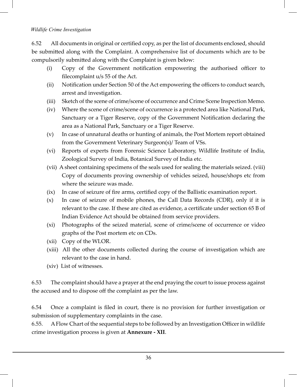6.52 All documents in original or certified copy, as per the list of documents enclosed, should be submitted along with the Complaint. A comprehensive list of documents which are to be compulsorily submitted along with the Complaint is given below:

- (i) Copy of the Government notification empowering the authorised officer to filecomplaint u/s 55 of the Act.
- (ii) Notification under Section 50 of the Act empowering the officers to conduct search, arrest and investigation.
- (iii) Sketch of the scene of crime/scene of occurrence and Crime Scene Inspection Memo.
- (iv) Where the scene of crime/scene of occurrence is a protected area like National Park, Sanctuary or a Tiger Reserve, copy of the Government Notification declaring the area as a National Park, Sanctuary or a Tiger Reserve.
- (v) In case of unnatural deaths or hunting of animals, the Post Mortem report obtained from the Government Veterinary Surgeon(s)/ Team of VSs.
- (vi) Reports of experts from Forensic Science Laboratory, Wildlife Institute of India, Zoological Survey of India, Botanical Survey of India etc.
- (vii) A sheet containing specimens of the seals used for sealing the materials seized. (viii) Copy of documents proving ownership of vehicles seized, house/shops etc from where the seizure was made.
- (ix) In case of seizure of fire arms, certified copy of the Ballistic examination report.
- (x) In case of seizure of mobile phones, the Call Data Records (CDR), only if it is relevant to the case. If these are cited as evidence, a certificate under section 65 B of Indian Evidence Act should be obtained from service providers.
- (xi) Photographs of the seized material, scene of crime/scene of occurrence or video graphs of the Post mortem etc on CDs.
- (xii) Copy of the WLOR.
- (xiii) All the other documents collected during the course of investigation which are relevant to the case in hand.
- (xiv) List of witnesses.

6.53 The complaint should have a prayer at the end praying the court to issue process against the accused and to dispose off the complaint as per the law.

6.54 Once a complaint is filed in court, there is no provision for further investigation or submission of supplementary complaints in the case.

6.55. A Flow Chart of the sequential steps to be followed by an Investigation Officer in wildlife crime investigation process is given at **Annexure - XII**.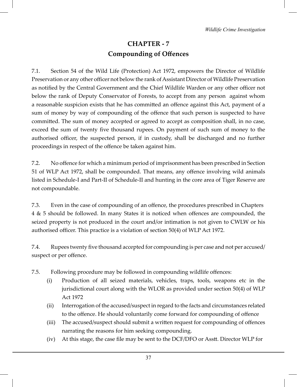# **CHAPTER - 7 Compounding of Offences**

7.1. Section 54 of the Wild Life (Protection) Act 1972, empowers the Director of Wildlife Preservation or any other officer not below the rank of Assistant Director of Wildlife Preservation as notified by the Central Government and the Chief Wildlife Warden or any other officer not below the rank of Deputy Conservator of Forests, to accept from any person against whom a reasonable suspicion exists that he has committed an offence against this Act, payment of a sum of money by way of compounding of the offence that such person is suspected to have committed. The sum of money accepted or agreed to accept as composition shall, in no case, exceed the sum of twenty five thousand rupees. On payment of such sum of money to the authorised officer, the suspected person, if in custody, shall be discharged and no further proceedings in respect of the offence be taken against him.

7.2. No offence for which a minimum period of imprisonment has been prescribed in Section 51 of WLP Act 1972, shall be compounded. That means, any offence involving wild animals listed in Schedule-I and Part-II of Schedule-II and hunting in the core area of Tiger Reserve are not compoundable.

7.3. Even in the case of compounding of an offence, the procedures prescribed in Chapters 4 & 5 should be followed. In many States it is noticed when offences are compounded, the seized property is not produced in the court and/or intimation is not given to CWLW or his authorised officer. This practice is a violation of section 50(4) of WLP Act 1972.

7.4. Rupees twenty five thousand accepted for compounding is per case and not per accused/ suspect or per offence.

- 7.5. Following procedure may be followed in compounding wildlife offences:
	- (i) Production of all seized materials, vehicles, traps, tools, weapons etc in the jurisdictional court along with the WLOR as provided under section 50(4) of WLP Act 1972
	- (ii) Interrogation of the accused/suspect in regard to the facts and circumstances related to the offence. He should voluntarily come forward for compounding of offence
	- (iii) The accused/suspect should submit a written request for compounding of offences narrating the reasons for him seeking compounding.
	- (iv) At this stage, the case file may be sent to the DCF/DFO or Asstt. Director WLP for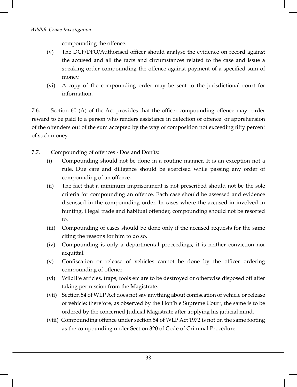compounding the offence.

- (v) The DCF/DFO/Authorised officer should analyse the evidence on record against the accused and all the facts and circumstances related to the case and issue a speaking order compounding the offence against payment of a specified sum of money.
- (vi) A copy of the compounding order may be sent to the jurisdictional court for information.

7.6. Section 60 (A) of the Act provides that the officer compounding offence may order reward to be paid to a person who renders assistance in detection of offence or apprehension of the offenders out of the sum accepted by the way of composition not exceeding fifty percent of such money.

- 7.7. Compounding of offences Dos and Don'ts:
	- (i) Compounding should not be done in a routine manner. It is an exception not a rule. Due care and diligence should be exercised while passing any order of compounding of an offence.
	- (ii) The fact that a minimum imprisonment is not prescribed should not be the sole criteria for compounding an offence. Each case should be assessed and evidence discussed in the compounding order. In cases where the accused in involved in hunting, illegal trade and habitual offender, compounding should not be resorted to.
	- (iii) Compounding of cases should be done only if the accused requests for the same citing the reasons for him to do so.
	- (iv) Compounding is only a departmental proceedings, it is neither conviction nor acquittal.
	- (v) Confiscation or release of vehicles cannot be done by the officer ordering compounding of offence.
	- (vi) Wildlife articles, traps, tools etc are to be destroyed or otherwise disposed off after taking permission from the Magistrate.
	- (vii) Section 54 of WLP Act does not say anything about confiscation of vehicle or release of vehicle; therefore, as observed by the Hon'ble Supreme Court, the same is to be ordered by the concerned Judicial Magistrate after applying his judicial mind.
	- (viii) Compounding offence under section 54 of WLP Act 1972 is not on the same footing as the compounding under Section 320 of Code of Criminal Procedure.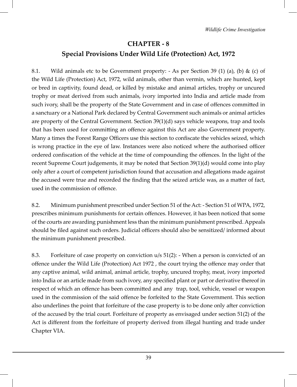# **CHAPTER - 8 Special Provisions Under Wild Life (Protection) Act, 1972**

8.1. Wild animals etc to be Government property:  $-$  As per Section 39 (1) (a), (b) & (c) of the Wild Life (Protection) Act, 1972, wild animals, other than vermin, which are hunted, kept or bred in captivity, found dead, or killed by mistake and animal articles, trophy or uncured trophy or meat derived from such animals, ivory imported into India and article made from such ivory, shall be the property of the State Government and in case of offences committed in a sanctuary or a National Park declared by Central Government such animals or animal articles are property of the Central Government. Section 39(1)(d) says vehicle weapons, trap and tools that has been used for committing an offence against this Act are also Government property. Many a times the Forest Range Officers use this section to confiscate the vehicles seized, which is wrong practice in the eye of law. Instances were also noticed where the authorised officer ordered confiscation of the vehicle at the time of compounding the offences. In the light of the recent Supreme Court judgements, it may be noted that Section 39(1)(d) would come into play only after a court of competent jurisdiction found that accusation and allegations made against the accused were true and recorded the finding that the seized article was, as a matter of fact, used in the commission of offence.

8.2. Minimum punishment prescribed under Section 51 of the Act: - Section 51 of WPA, 1972, prescribes minimum punishments for certain offences. However, it has been noticed that some of the courts are awarding punishment less than the minimum punishment prescribed. Appeals should be filed against such orders. Judicial officers should also be sensitized/ informed about the minimum punishment prescribed.

8.3. Forfeiture of case property on conviction u/s 51(2): - When a person is convicted of an offence under the Wild Life (Protection) Act 1972 , the court trying the offence may order that any captive animal, wild animal, animal article, trophy, uncured trophy, meat, ivory imported into India or an article made from such ivory, any specified plant or part or derivative thereof in respect of which an offence has been committed and any trap, tool, vehicle, vessel or weapon used in the commission of the said offence be forfeited to the State Government. This section also underlines the point that forfeiture of the case property is to be done only after conviction of the accused by the trial court. Forfeiture of property as envisaged under section 51(2) of the Act is different from the forfeiture of property derived from illegal hunting and trade under Chapter VIA.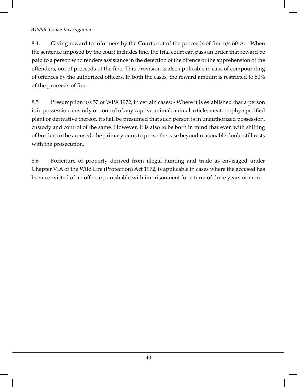8.4. Giving reward to informers by the Courts out of the proceeds of fine u/s 60-A:- When the sentence imposed by the court includes fine, the trial court can pass an order that reward be paid to a person who renders assistance in the detection of the offence or the apprehension of the offenders, out of proceeds of the fine. This provision is also applicable in case of compounding of offences by the authorized officers. In both the cases, the reward amount is restricted to 50% of the proceeds of fine.

8.5 Presumption u/s 57 of WPA 1972, in certain cases: - Where it is established that a person is in possession, custody or control of any captive animal, animal article, meat, trophy, specified plant or derivative thereof, it shall be presumed that such person is in unauthorized possession, custody and control of the same. However, It is also to be born in mind that even with shifting of burden to the accused, the primary onus to prove the case beyond reasonable doubt still rests with the prosecution.

8.6 Forfeiture of property derived from illegal hunting and trade as envisaged under Chapter VIA of the Wild Life (Protection) Act 1972, is applicable in cases where the accused has been convicted of an offence punishable with imprisonment for a term of three years or more.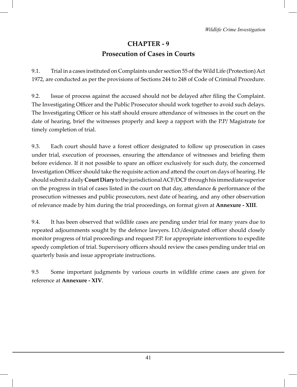# **CHAPTER - 9 Prosecution of Cases in Courts**

9.1. Trial in a cases instituted on Complaints under section 55 of the Wild Life (Protection) Act 1972, are conducted as per the provisions of Sections 244 to 248 of Code of Criminal Procedure.

9.2. Issue of process against the accused should not be delayed after filing the Complaint. The Investigating Officer and the Public Prosecutor should work together to avoid such delays. The Investigating Officer or his staff should ensure attendance of witnesses in the court on the date of hearing, brief the witnesses properly and keep a rapport with the P.P/ Magistrate for timely completion of trial.

9.3. Each court should have a forest officer designated to follow up prosecution in cases under trial, execution of processes, ensuring the attendance of witnesses and briefing them before evidence. If it not possible to spare an officer exclusively for such duty, the concerned Investigation Officer should take the requisite action and attend the court on days of hearing. He should submit a daily **Court Diary** to the jurisdictional ACF/DCF through his immediate superior on the progress in trial of cases listed in the court on that day, attendance & performance of the prosecution witnesses and public prosecutors, next date of hearing, and any other observation of relevance made by him during the trial proceedings, on format given at **Annexure - XIII**.

9.4. It has been observed that wildlife cases are pending under trial for many years due to repeated adjournments sought by the defence lawyers. I.O./designated officer should closely monitor progress of trial proceedings and request P.P. for appropriate interventions to expedite speedy completion of trial. Supervisory officers should review the cases pending under trial on quarterly basis and issue appropriate instructions.

9.5 Some important judgments by various courts in wildlife crime cases are given for reference at **Annexure - XIV**.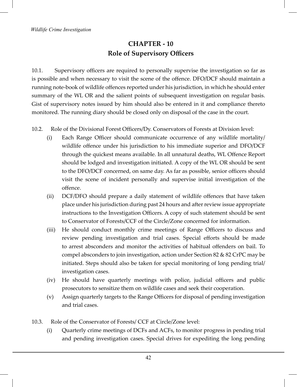## **CHAPTER - 10 Role of Supervisory Officers**

10.1. Supervisory officers are required to personally supervise the investigation so far as is possible and when necessary to visit the scene of the offence. DFO/DCF should maintain a running note-book of wildlife offences reported under his jurisdiction, in which he should enter summary of the WL OR and the salient points of subsequent investigation on regular basis. Gist of supervisory notes issued by him should also be entered in it and compliance thereto monitored. The running diary should be closed only on disposal of the case in the court.

- 10.2. Role of the Divisional Forest Officers/Dy. Conservators of Forests at Division level:
	- (i) Each Range Officer should communicate occurrence of any wildlife mortality/ wildlife offence under his jurisdiction to his immediate superior and DFO/DCF through the quickest means available. In all unnatural deaths, WL Offence Report should be lodged and investigation initiated. A copy of the WL OR should be sent to the DFO/DCF concerned, on same day. As far as possible, senior officers should visit the scene of incident personally and supervise initial investigation of the offence.
	- (ii) DCF/DFO should prepare a daily statement of wildlife offences that have taken place under his jurisdiction during past 24 hours and after review issue appropriate instructions to the Investigation Officers. A copy of such statement should be sent to Conservator of Forests/CCF of the Circle/Zone concerned for information.
	- (iii) He should conduct monthly crime meetings of Range Officers to discuss and review pending investigation and trial cases. Special efforts should be made to arrest absconders and monitor the activities of habitual offenders on bail. To compel absconders to join investigation, action under Section 82 & 82 CrPC may be initiated. Steps should also be taken for special monitoring of long pending trial/ investigation cases.
	- (iv) He should have quarterly meetings with police, judicial officers and public prosecutors to sensitize them on wildlife cases and seek their cooperation.
	- (v) Assign quarterly targets to the Range Officers for disposal of pending investigation and trial cases.
- 10.3. Role of the Conservator of Forests/ CCF at Circle/Zone level:
	- (i) Quarterly crime meetings of DCFs and ACFs, to monitor progress in pending trial and pending investigation cases. Special drives for expediting the long pending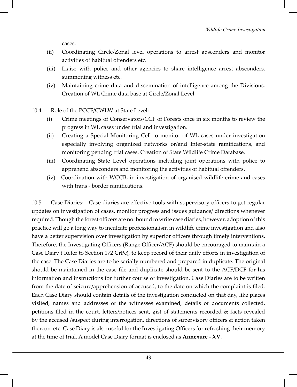cases.

- (ii) Coordinating Circle/Zonal level operations to arrest absconders and monitor activities of habitual offenders etc.
- (iii) Liaise with police and other agencies to share intelligence arrest absconders, summoning witness etc.
- (iv) Maintaining crime data and dissemination of intelligence among the Divisions. Creation of WL Crime data base at Circle/Zonal Level.
- 10.4. Role of the PCCF/CWLW at State Level:
	- (i) Crime meetings of Conservators/CCF of Forests once in six months to review the progress in WL cases under trial and investigation.
	- (ii) Creating a Special Monitoring Cell to monitor of WL cases under investigation especially involving organized networks or/and Inter-state ramifications, and monitoring pending trial cases. Creation of State Wildlife Crime Database.
	- (iii) Coordinating State Level operations including joint operations with police to apprehend absconders and monitoring the activities of habitual offenders.
	- (iv) Coordination with WCCB, in investigation of organised wildlife crime and cases with trans - border ramifications.

10.5. Case Diaries: - Case diaries are effective tools with supervisory officers to get regular updates on investigation of cases, monitor progress and issues guidance/ directions whenever required. Though the forest officers are not bound to write case diaries, however, adoption of this practice will go a long way to inculcate professionalism in wildlife crime investigation and also have a better supervision over investigation by superior officers through timely interventions. Therefore, the Investigating Officers (Range Officer/ACF) should be encouraged to maintain a Case Diary ( Refer to Section 172 CrPc), to keep record of their daily efforts in investigation of the case. The Case Diaries are to be serially numbered and prepared in duplicate. The original should be maintained in the case file and duplicate should be sent to the ACF/DCF for his information and instructions for further course of investigation. Case Diaries are to be written from the date of seizure/apprehension of accused, to the date on which the complaint is filed. Each Case Diary should contain details of the investigation conducted on that day, like places visited, names and addresses of the witnesses examined, details of documents collected, petitions filed in the court, letters/notices sent, gist of statements recorded & facts revealed by the accused /suspect during interrogation, directions of supervisory officers & action taken thereon etc. Case Diary is also useful for the Investigating Officers for refreshing their memory at the time of trial. A model Case Diary format is enclosed as **Annexure - XV**.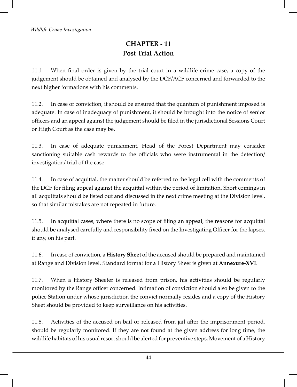# **CHAPTER - 11 Post Trial Action**

11.1. When final order is given by the trial court in a wildlife crime case, a copy of the judgement should be obtained and analysed by the DCF/ACF concerned and forwarded to the next higher formations with his comments.

11.2. In case of conviction, it should be ensured that the quantum of punishment imposed is adequate. In case of inadequacy of punishment, it should be brought into the notice of senior officers and an appeal against the judgement should be filed in the jurisdictional Sessions Court or High Court as the case may be.

11.3. In case of adequate punishment, Head of the Forest Department may consider sanctioning suitable cash rewards to the officials who were instrumental in the detection/ investigation/ trial of the case.

11.4. In case of acquittal, the matter should be referred to the legal cell with the comments of the DCF for filing appeal against the acquittal within the period of limitation. Short comings in all acquittals should be listed out and discussed in the next crime meeting at the Division level, so that similar mistakes are not repeated in future.

11.5. In acquittal cases, where there is no scope of filing an appeal, the reasons for acquittal should be analysed carefully and responsibility fixed on the Investigating Officer for the lapses, if any, on his part.

11.6. In case of conviction, a **History Sheet** of the accused should be prepared and maintained at Range and Division level. Standard format for a History Sheet is given at **Annexure-XVI**.

11.7. When a History Sheeter is released from prison, his activities should be regularly monitored by the Range officer concerned. Intimation of conviction should also be given to the police Station under whose jurisdiction the convict normally resides and a copy of the History Sheet should be provided to keep surveillance on his activities.

11.8. Activities of the accused on bail or released from jail after the imprisonment period, should be regularly monitored. If they are not found at the given address for long time, the wildlife habitats of his usual resort should be alerted for preventive steps. Movement of a History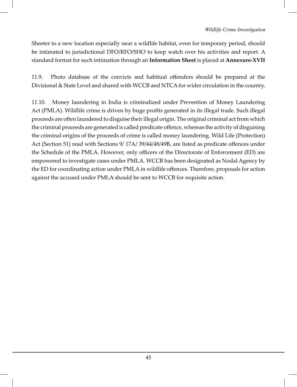Sheeter to a new location especially near a wildlife habitat, even for temporary period, should be intimated to jurisdictional DFO/RFO/SHO to keep watch over his activities and report. A standard format for such intimation through an **Information Sheet** is placed at **Annexure-XVII**

11.9. Photo database of the convicts and habitual offenders should be prepared at the Divisional & State Level and shared with WCCB and NTCA for wider circulation in the country.

11.10. Money laundering in India is criminalized under Prevention of Money Laundering Act (PMLA). Wildlife crime is driven by huge profits generated in its illegal trade. Such illegal proceeds are often laundered to disguise their illegal origin. The original criminal act from which the criminal proceeds are generated is called predicate offence, whereas the activity of disguising the criminal origins of the proceeds of crime is called money laundering. Wild Life (Protection) Act (Section 51) read with Sections 9/ 17A/ 39/44/48/49B, are listed as predicate offences under the Schedule of the PMLA. However, only officers of the Directorate of Enforcement (ED) are empowered to investigate cases under PMLA. WCCB has been designated as Nodal Agency by the ED for coordinating action under PMLA in wildlife offences. Therefore, proposals for action against the accused under PMLA should be sent to WCCB for requisite action.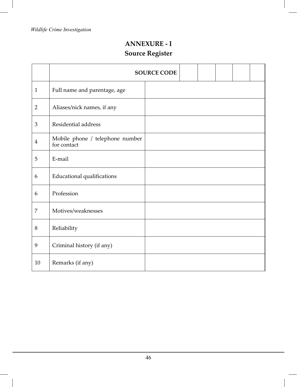# **ANNEXURE - I Source Register**

|                |                                                | <b>SOURCE CODE</b> |  |  |  |
|----------------|------------------------------------------------|--------------------|--|--|--|
| $\mathbf{1}$   | Full name and parentage, age                   |                    |  |  |  |
| 2              | Aliases/nick names, if any                     |                    |  |  |  |
| $\mathfrak{Z}$ | Residential address                            |                    |  |  |  |
| $\overline{4}$ | Mobile phone / telephone number<br>for contact |                    |  |  |  |
| 5              | E-mail                                         |                    |  |  |  |
| 6              | <b>Educational qualifications</b>              |                    |  |  |  |
| 6              | Profession                                     |                    |  |  |  |
| 7              | Motives/weaknesses                             |                    |  |  |  |
| 8              | Reliability                                    |                    |  |  |  |
| 9              | Criminal history (if any)                      |                    |  |  |  |
| 10             | Remarks (if any)                               |                    |  |  |  |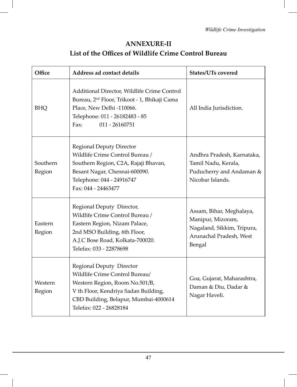# **ANNEXURE-II List of the Offices of Wildlife Crime Control Bureau**

| Office<br>Address ad contact details |                                                                                                                                                                                                          | <b>States/UTs covered</b>                                                                                        |
|--------------------------------------|----------------------------------------------------------------------------------------------------------------------------------------------------------------------------------------------------------|------------------------------------------------------------------------------------------------------------------|
| <b>BHQ</b>                           | Additional Director, Wildlife Crime Control<br>Bureau, 2 <sup>nd</sup> Floor, Trikoot - 1, Bhikaji Cama<br>Place, New Delhi -110066.<br>Telephone: 011 - 26182483 - 85<br>Fax:<br>$011 - 26160751$       | All India Jurisdiction.                                                                                          |
| Southern<br>Region                   | <b>Regional Deputy Director</b><br>Wildlife Crime Control Bureau /<br>Southern Region, C2A, Rajaji Bhavan,<br>Besant Nagar, Chennai-600090.<br>Telephone: 044 - 24916747<br>Fax: 044 - 24463477          | Andhra Pradesh, Karnataka,<br>Tamil Nadu, Kerala,<br>Puducherry and Andaman &<br>Nicobar Islands.                |
| Eastern<br>Region                    | Regional Deputy Director,<br>Wildlife Crime Control Bureau /<br>Eastern Region, Nizam Palace,<br>2nd MSO Building, 6th Floor,<br>A.J.C Bose Road, Kolkata-700020.<br>Telefax: 033 - 22878698             | Assam, Bihar, Meghalaya,<br>Manipur, Mizoram,<br>Nagaland, Sikkim, Tripura,<br>Arunachal Pradesh, West<br>Bengal |
| Western<br>Region                    | Regional Deputy Director<br>Wildlife Crime Control Bureau/<br>Western Region, Room No.501/B,<br>V th Floor, Kendriya Sadan Building,<br>CBD Building, Belapur, Mumbai-4000614<br>Telefax: 022 - 26828184 | Goa, Gujarat, Maharashtra,<br>Daman & Diu, Dadar &<br>Nagar Haveli.                                              |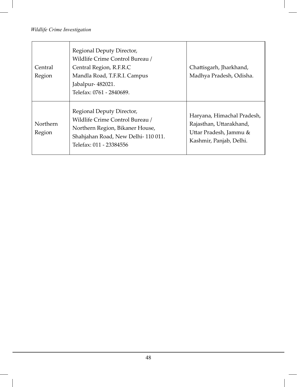| Central<br>Region  | Regional Deputy Director,<br>Wildlife Crime Control Bureau /<br>Central Region, R.F.R.C<br>Mandla Road, T.F.R.I. Campus<br>Jabalpur- 482021.<br>Telefax: 0761 - 2840689. | Chattisgarh, Jharkhand,<br>Madhya Pradesh, Odisha.                                                         |
|--------------------|--------------------------------------------------------------------------------------------------------------------------------------------------------------------------|------------------------------------------------------------------------------------------------------------|
| Northern<br>Region | Regional Deputy Director,<br>Wildlife Crime Control Bureau /<br>Northern Region, Bikaner House,<br>Shahjahan Road, New Delhi-110011.<br>Telefax: 011 - 23384556          | Haryana, Himachal Pradesh,<br>Rajasthan, Uttarakhand,<br>Uttar Pradesh, Jammu &<br>Kashmir, Panjab, Delhi. |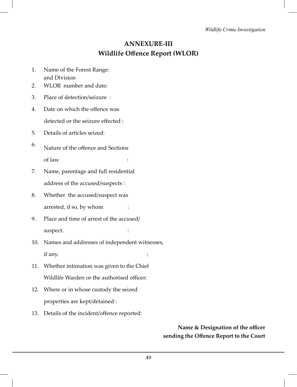### **ANNEXURE-III Wildlife Offence Report (WLOR)**

- 1. Name of the Forest Range: and Division
- 2. WLOR number and date:
- 3. Place of detection/seizure :
- 4. Date on which the offence was detected or the seizure effected :
- 5. Details of articles seized:
- 6. Nature of the offence and Sections of law :
- 7. Name, parentage and full residential address of the accused/suspects :
- 8. Whether the accused/suspect was arrested, if so, by whom :
- 9. Place and time of arrest of the accused/ suspect.  $\qquad \qquad :$
- 10. Names and addresses of independent witnesses, if any.
- 11. Whether intimation was given to the Chief Wildlife Warden or the authorised officer:
- 12. Where or in whose custody the seized properties are kept/detained :
- 13. Details of the incident/offence reported:

 **Name & Designation of the officer sending the Offence Report to the Court**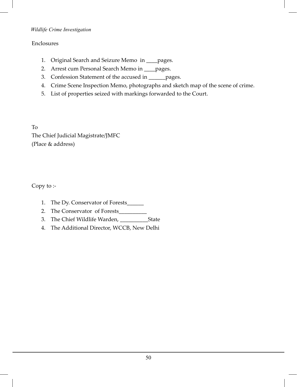#### Enclosures

- 1. Original Search and Seizure Memo in \_\_\_\_pages.
- 2. Arrest cum Personal Search Memo in \_\_\_\_pages.
- 3. Confession Statement of the accused in \_\_\_\_\_\_pages.
- 4. Crime Scene Inspection Memo, photographs and sketch map of the scene of crime.
- 5. List of properties seized with markings forwarded to the Court.

To The Chief Judicial Magistrate/JMFC (Place & address)

Copy to :-

- 1. The Dy. Conservator of Forests\_\_\_\_\_\_
- 2. The Conservator of Forests\_\_\_\_\_\_\_\_\_\_
- 3. The Chief Wildlife Warden, \_\_\_\_\_\_\_\_\_\_State
- 4. The Additional Director, WCCB, New Delhi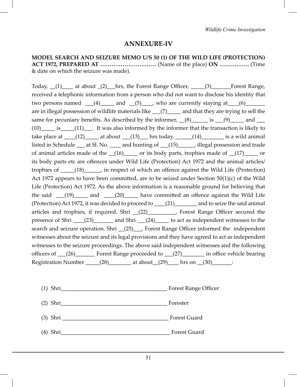#### **ANNEXURE-IV**

**MODEL SEARCH AND SEIZURE MEMO U/S 50 (1) OF THE WILD LIFE (PROTECTION) ACT 1972, PREPARED AT …………………………** (Name of the place) **ON …………….** (Time & date on which the seizure was made).

Today,  $(1)$  at about  $(2)$  hrs, the Forest Range Officer,  $(3)$  Forest Range, received a telephonic information from a person who did not want to disclose his identity that two persons named  $(4)$  and  $(5)$  who are currently staying at  $(6)$ are in illegal possession of wildlife materials like  $(7)$  and that they are trying to sell the same for pecuniary benefits. As described by the informer,  $(8)$  is  $(9)$  and  $(9)$ (10)\_\_\_\_\_ is\_\_\_\_\_(11)\_\_\_. It was also informed by the informer that the transaction is likely to take place at  $\underline{\hspace{1cm}}(12)$  at about  $\underline{\hspace{1cm}}(13)$  hrs today.  $\underline{\hspace{1cm}}(14)$  is a wild animal listed in Schedule \_\_\_ at Sl. No. \_\_\_\_ and hunting of \_\_\_(15)\_\_\_\_\_\_, illegal possession and trade of animal articles made of the  $(16)$  or its body parts, trophies made of  $(17)$  or its body parts etc are offences under Wild Life (Protection) Act 1972 and the animal articles/ trophies of \_\_\_\_\_(18)\_\_\_\_\_, in respect of which an offence against the Wild Life (Protection) Act 1972 appears to have been committed, are to be seized under Section  $50(1)(c)$  of the Wild Life (Protection) Act 1972. As the above information is a reasonable ground for believing that the said  $(19)$  and  $(20)$  have committed an offence against the Wild Life (Protection) Act 1972, it was decided to proceed to \_\_\_\_(21)\_\_\_\_\_\_\_\_ and to seize the said animal articles and trophies, if required. Shri \_\_(22)\_\_\_\_\_\_\_\_\_\_, Forest Range Officer secured the presence of Shri \_\_\_\_(23)\_\_\_\_\_\_\_\_ and Shri \_\_\_(24)\_\_\_\_\_\_ to act as independent witnesses to the search and seizure operation. Shri <sub>(25)</sub>, Forest Range Officer informed the independent witnesses about the seizure and its legal provisions and they have agreed to act as independent witnesses to the seizure proceedings. The above said independent witnesses and the following officers of \_\_\_(26)\_\_\_\_\_\_\_ Forest Range proceeded to \_\_\_(27)\_\_\_\_\_\_\_\_ in office vehicle bearing Registration Number  $(28)$  at about  $(29)$  hrs on  $(30)$   $(30)$ 

- (1) Shri<br>Forest Range Officer
- (2) Shri\_\_\_\_\_\_\_\_\_\_\_\_\_\_\_\_\_\_\_\_\_\_\_\_\_\_\_\_\_\_\_\_\_\_\_\_\_\_ Forester
- (3) Shri \_\_\_\_\_\_\_\_\_\_\_\_\_\_\_\_\_\_\_\_\_\_\_\_\_\_\_\_\_\_\_\_\_\_\_\_\_\_ Forest Guard
- (4) Shri\_\_\_\_\_\_\_\_\_\_\_\_\_\_\_\_\_\_\_\_\_\_\_\_\_\_\_\_\_\_\_\_\_\_\_\_\_\_\_ Forest Guard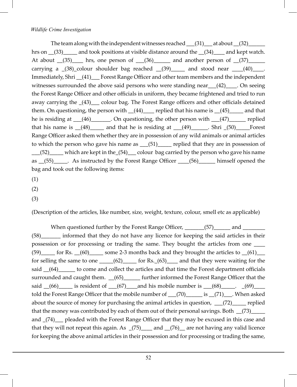The team along with the independent witnesses reached  $\qquad (31)$  at about  $(32)$ hrs on  $(33)$  and took positions at visible distance around the  $(34)$  and kept watch. At about  $(35)$  hrs, one person of  $(36)$  and another person of  $(37)$ carrying a  $(38)$ -colour shoulder bag reached  $(39)$  and stood near  $(40)$ . Immediately, Shri \_\_(41)\_\_\_ Forest Range Officer and other team members and the independent witnesses surrounded the above said persons who were standing near \_\_\_(42)\_\_\_\_. On seeing the Forest Range Officer and other officials in uniform, they became frightened and tried to run away carrying the  $(43)$  colour bag. The Forest Range officers and other officials detained them. On questioning, the person with  $(44)$  replied that his name is  $(45)$  and that he is residing at  $(46)$ \_\_\_\_\_\_. On questioning, the other person with  $(47)$ \_\_\_\_\_ replied that his name is  $(48)$  and that he is residing at  $(49)$  . Shri  $(50)$  Forest Range Officer asked them whether they are in possession of any wild animals or animal articles to which the person who gave his name as \_\_\_(51)\_\_\_\_\_ replied that they are in possession of \_\_\_(52)\_\_\_\_\_ which are kept in the\_(54)\_\_\_ colour bag carried by the person who gave his name as (55)\_\_\_\_\_. As instructed by the Forest Range Officer \_\_\_\_(56)\_\_\_\_\_\_ himself opened the bag and took out the following items:

- (1)
- (2)
- (3)

(Description of the articles, like number, size, weight, texture, colour, smell etc as applicable)

When questioned further by the Forest Range Officer, \_\_\_\_\_\_\_(57)\_\_\_\_\_\_\_ and \_\_\_\_\_\_\_ (58)\_\_\_\_\_\_\_ informed that they do not have any licence for keeping the said articles in their possession or for processing or trading the same. They bought the articles from one \_\_\_\_  $(59)$  for Rs.  $(60)$  some 2-3 months back and they brought the articles to  $(61)$ for selling the same to one  $\qquad$  (62)  $\qquad$  for Rs. (63) and that they were waiting for the said \_\_(64) \_\_\_\_\_ to come and collect the articles and that time the Forest department officials surrounded and caught them.  $\frac{-(65)}{2}$  further informed the Forest Range Officer that the said  $(66)$  is resident of  $(67)$  and his mobile number is  $(68)$   $(69)$   $(69)$ told the Forest Range Officer that the mobile number of  $(70)$  is  $(71)$ . When asked about the source of money for purchasing the animal articles in question,  $(72)$  replied that the money was contributed by each of them out of their personal savings. Both \_\_(73)\_\_\_\_\_ and  $(74)$  pleaded with the Forest Range Officer that they may be excused in this case and that they will not repeat this again. As  $(75)$  and  $(76)$  are not having any valid licence for keeping the above animal articles in their possession and for processing or trading the same,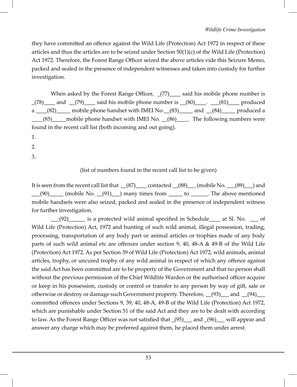they have committed an offence against the Wild Life (Protection) Act 1972 in respect of these articles and thus the articles are to be seized under Section 50(1)(c) of the Wild Life (Protection) Act 1972. Therefore, the Forest Range Officer seized the above articles vide this Seizure Memo, packed and sealed in the presence of independent witnesses and taken into custody for further investigation.

When asked by the Forest Range Officer,  $(77)$  said his mobile phone number is  $(78)$  and  $(79)$  said his mobile phone number is  $(80)$ .  $(81)$  produced a \_\_\_\_(82)\_\_\_\_\_ mobile phone handset with IMEI No. \_\_(83)\_\_\_\_\_ and \_\_(84)\_\_\_\_ produced a \_\_\_\_(85)\_\_\_\_\_mobile phone handset with IMEI No. \_\_(86)\_\_\_\_. The following numbers were found in the recent call list (both incoming and out going).

- 1.
- 2.
- 3.

(list of numbers found in the recent call list to be given)

It is seen from the recent call list that  $(87)$  contacted  $(88)$  (mobile No.  $(89)$ ) and  $\frac{1}{2}$  (90)  $\frac{1}{2}$  (mobile No.  $\frac{1}{2}$  (91)  $\frac{1}{2}$  many times from  $\frac{1}{2}$  to  $\frac{1}{2}$ . The above mentioned mobile handsets were also seized, packed and sealed in the presence of independent witness for further investigation.

\_\_\_(92)\_\_\_\_\_\_ is a protected wild animal specified in Schedule\_\_\_\_ at Sl. No. \_\_\_ of Wild Life (Protection) Act, 1972 and hunting of such wild animal, illegal possession, trading, processing, transportation of any body part or animal articles or trophies made of any body parts of such wild animal etc are offences under section 9, 40, 48-A & 49-B of the Wild Life (Protection) Act 1972. As per Section 39 of Wild Life (Protection) Act 1972, wild animals, animal articles, trophy, or uncured trophy of any wild animal in respect of which any offence against the said Act has been committed are to be property of the Government and that no person shall without the previous permission of the Chief Wildlife Warden or the authorised officer acquire or keep in his possession, custody or control or transfer to any person by way of gift, sale or otherwise or destroy or damage such Government property. Therefore, (93) and (94) committed offences under Sections 9, 39, 40, 48-A, 49-B of the Wild Life (Protection) Act 1972, which are punishable under Section 51 of the said Act and they are to be dealt with according to law. As the Forest Range Officer was not satisfied that \_(95)\_\_\_ and \_(96)\_\_\_ will appear and answer any charge which may be preferred against them, he placed them under arrest.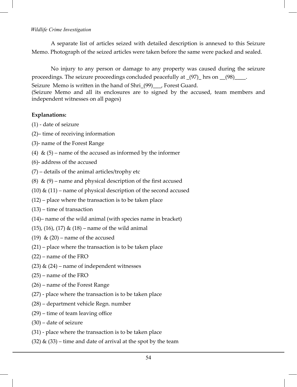A separate list of articles seized with detailed description is annexed to this Seizure Memo. Photograph of the seized articles were taken before the same were packed and sealed.

No injury to any person or damage to any property was caused during the seizure proceedings. The seizure proceedings concluded peacefully at  $(97)$  hrs on  $(98)$ \_\_\_.

Seizure Memo is written in the hand of Shri (99) Forest Guard.

(Seizure Memo and all its enclosures are to signed by the accused, team members and independent witnesses on all pages)

#### **Explanations:**

(1) - date of seizure

- (2)– time of receiving information
- (3)- name of the Forest Range
- (4)  $\&$  (5) name of the accused as informed by the informer

(6)- address of the accused

- (7) details of the animal articles/trophy etc
- (8)  $\&$  (9) name and physical description of the first accused
- (10)  $\&$  (11) name of physical description of the second accused
- (12) place where the transaction is to be taken place
- (13) time of transaction
- (14)– name of the wild animal (with species name in bracket)
- (15), (16), (17) & (18) name of the wild animal
- (19)  $\&$  (20) name of the accused
- (21) place where the transaction is to be taken place
- (22) name of the FRO
- (23)  $\&$  (24) name of independent witnesses
- (25) name of the FRO
- (26) name of the Forest Range
- (27) place where the transaction is to be taken place
- (28) department vehicle Regn. number
- (29) time of team leaving office
- (30) date of seizure
- (31) place where the transaction is to be taken place
- $(32)$  &  $(33)$  time and date of arrival at the spot by the team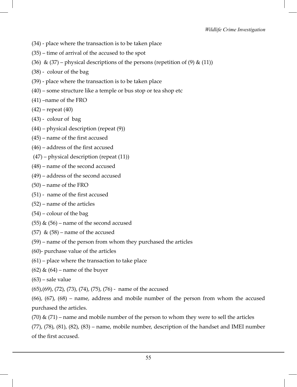- (34) place where the transaction is to be taken place
- (35) time of arrival of the accused to the spot
- (36) & (37) physical descriptions of the persons (repetition of (9) & (11))
- (38) colour of the bag
- (39) place where the transaction is to be taken place
- (40) some structure like a temple or bus stop or tea shop etc
- (41) –name of the FRO
- $(42)$  repeat  $(40)$
- (43) colour of bag
- (44) physical description (repeat (9))
- (45) name of the first accused
- (46) address of the first accused
- (47) physical description (repeat (11))
- (48) name of the second accused
- (49) address of the second accused
- (50) name of the FRO
- (51) name of the first accused
- (52) name of the articles
- (54) colour of the bag
- (55)  $\&$  (56) name of the second accused
- (57) &  $(58)$  name of the accused
- (59) name of the person from whom they purchased the articles
- (60)- purchase value of the articles
- (61) place where the transaction to take place
- $(62)$  &  $(64)$  name of the buyer
- (63) sale value
- (65),(69), (72), (73), (74), (75), (76) name of the accused

(66), (67), (68) – name, address and mobile number of the person from whom the accused purchased the articles.

 $(70)$  &  $(71)$  – name and mobile number of the person to whom they were to sell the articles

 $(77)$ ,  $(78)$ ,  $(81)$ ,  $(82)$ ,  $(83)$  – name, mobile number, description of the handset and IMEI number of the first accused.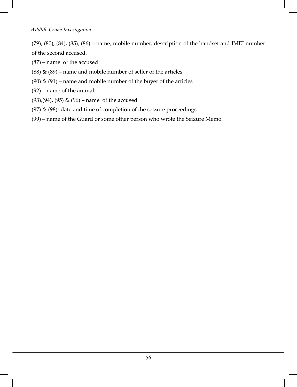(79), (80), (84), (85), (86) – name, mobile number, description of the handset and IMEI number of the second accused.

(87) – name of the accused

- (88)  $\&$  (89) name and mobile number of seller of the articles
- (90)  $\&$  (91) name and mobile number of the buyer of the articles
- (92) name of the animal
- (93),(94), (95) & (96) name of the accused
- (97)  $\&$  (98)- date and time of completion of the seizure proceedings
- (99) name of the Guard or some other person who wrote the Seizure Memo.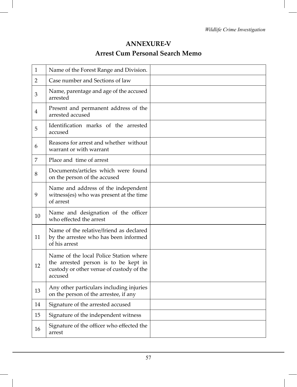## **ANNEXURE-V Arrest Cum Personal Search Memo**

| $\mathbf{1}$   | Name of the Forest Range and Division.                                                                                                |  |
|----------------|---------------------------------------------------------------------------------------------------------------------------------------|--|
| $\overline{2}$ | Case number and Sections of law                                                                                                       |  |
| 3              | Name, parentage and age of the accused<br>arrested                                                                                    |  |
| 4              | Present and permanent address of the<br>arrested accused                                                                              |  |
| 5              | Identification marks of the arrested<br>accused                                                                                       |  |
| 6              | Reasons for arrest and whether without<br>warrant or with warrant                                                                     |  |
| $\overline{7}$ | Place and time of arrest                                                                                                              |  |
| 8              | Documents/articles which were found<br>on the person of the accused                                                                   |  |
| 9              | Name and address of the independent<br>witness(es) who was present at the time<br>of arrest                                           |  |
| 10             | Name and designation of the officer<br>who effected the arrest                                                                        |  |
| 11             | Name of the relative/friend as declared<br>by the arrestee who has been informed<br>of his arrest                                     |  |
| 12             | Name of the local Police Station where<br>the arrested person is to be kept in<br>custody or other venue of custody of the<br>accused |  |
| 13             | Any other particulars including injuries<br>on the person of the arrestee, if any                                                     |  |
| 14             | Signature of the arrested accused                                                                                                     |  |
| 15             | Signature of the independent witness                                                                                                  |  |
| 16             | Signature of the officer who effected the<br>arrest                                                                                   |  |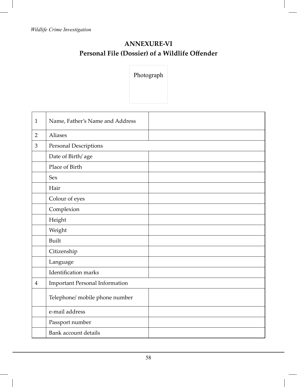# **ANNEXURE-VI Personal File (Dossier) of a Wildlife Offender**

Photograph

| $\mathbf{1}$   | Name, Father's Name and Address       |  |
|----------------|---------------------------------------|--|
| $\overline{2}$ | Aliases                               |  |
| 3              | Personal Descriptions                 |  |
|                | Date of Birth/age                     |  |
|                | Place of Birth                        |  |
|                | <b>Sex</b>                            |  |
|                | Hair                                  |  |
|                | Colour of eyes                        |  |
|                | Complexion                            |  |
|                | Height                                |  |
|                | Weight                                |  |
|                | Built                                 |  |
|                | Citizenship                           |  |
|                | Language                              |  |
|                | <b>Identification</b> marks           |  |
| $\overline{4}$ | <b>Important Personal Information</b> |  |
|                | Telephone/ mobile phone number        |  |
|                | e-mail address                        |  |
|                | Passport number                       |  |
|                | Bank account details                  |  |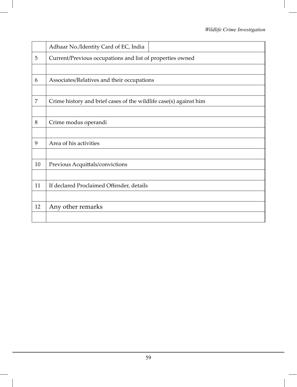|                | Adhaar No./Identity Card of EC, India                             |  |  |
|----------------|-------------------------------------------------------------------|--|--|
| 5              | Current/Previous occupations and list of properties owned         |  |  |
|                |                                                                   |  |  |
| 6              | Associates/Relatives and their occupations                        |  |  |
|                |                                                                   |  |  |
| $\overline{7}$ | Crime history and brief cases of the wildlife case(s) against him |  |  |
|                |                                                                   |  |  |
| 8              | Crime modus operandi                                              |  |  |
|                |                                                                   |  |  |
| 9              | Area of his activities                                            |  |  |
|                |                                                                   |  |  |
| 10             | Previous Acquittals/convictions                                   |  |  |
|                |                                                                   |  |  |
| 11             | If declared Proclaimed Offender, details                          |  |  |
|                |                                                                   |  |  |
| 12             | Any other remarks                                                 |  |  |
|                |                                                                   |  |  |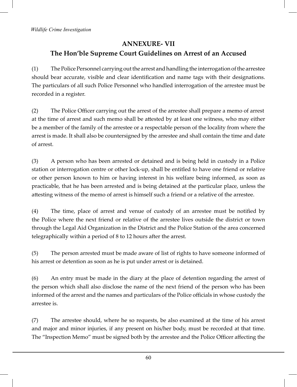## **ANNEXURE- VII The Hon'ble Supreme Court Guidelines on Arrest of an Accused**

(1) The Police Personnel carrying out the arrest and handling the interrogation of the arrestee should bear accurate, visible and clear identification and name tags with their designations. The particulars of all such Police Personnel who handled interrogation of the arrestee must be recorded in a register.

(2) The Police Officer carrying out the arrest of the arrestee shall prepare a memo of arrest at the time of arrest and such memo shall be attested by at least one witness, who may either be a member of the family of the arrestee or a respectable person of the locality from where the arrest is made. It shall also be countersigned by the arrestee and shall contain the time and date of arrest.

(3) A person who has been arrested or detained and is being held in custody in a Police station or interrogation centre or other lock-up, shall be entitled to have one friend or relative or other person known to him or having interest in his welfare being informed, as soon as practicable, that he has been arrested and is being detained at the particular place, unless the attesting witness of the memo of arrest is himself such a friend or a relative of the arrestee.

(4) The time, place of arrest and venue of custody of an arrestee must be notified by the Police where the next friend or relative of the arrestee lives outside the district or town through the Legal Aid Organization in the District and the Police Station of the area concerned telegraphically within a period of 8 to 12 hours after the arrest.

(5) The person arrested must be made aware of list of rights to have someone informed of his arrest or detention as soon as he is put under arrest or is detained.

(6) An entry must be made in the diary at the place of detention regarding the arrest of the person which shall also disclose the name of the next friend of the person who has been informed of the arrest and the names and particulars of the Police officials in whose custody the arrestee is.

(7) The arrestee should, where he so requests, be also examined at the time of his arrest and major and minor injuries, if any present on his/her body, must be recorded at that time. The "Inspection Memo" must be signed both by the arrestee and the Police Officer affecting the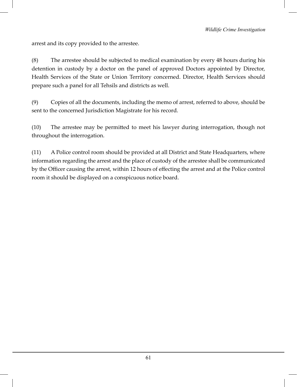arrest and its copy provided to the arrestee.

(8) The arrestee should be subjected to medical examination by every 48 hours during his detention in custody by a doctor on the panel of approved Doctors appointed by Director, Health Services of the State or Union Territory concerned. Director, Health Services should prepare such a panel for all Tehsils and districts as well.

(9) Copies of all the documents, including the memo of arrest, referred to above, should be sent to the concerned Jurisdiction Magistrate for his record.

(10) The arrestee may be permitted to meet his lawyer during interrogation, though not throughout the interrogation.

(11) A Police control room should be provided at all District and State Headquarters, where information regarding the arrest and the place of custody of the arrestee shall be communicated by the Officer causing the arrest, within 12 hours of effecting the arrest and at the Police control room it should be displayed on a conspicuous notice board.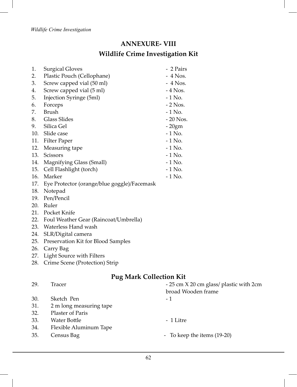## **ANNEXURE- VIII Wildlife Crime Investigation Kit**

| 1.  | <b>Surgical Gloves</b>                      | - 2 Pairs |
|-----|---------------------------------------------|-----------|
| 2.  | Plastic Pouch (Cellophane)                  | $-4$ Nos. |
| 3.  | Screw capped vial (50 ml)                   | $-4$ Nos. |
| 4.  | Screw capped vial (5 ml)                    | $-4$ Nos. |
| 5.  | Injection Syringe (5ml)                     | - 1 No.   |
| 6.  | Forceps                                     | $-2$ Nos. |
| 7.  | Brush                                       | $-1$ No.  |
| 8.  | Glass Slides                                | - 20 Nos. |
| 9.  | Silica Gel                                  | $-20gm$   |
| 10. | Slide case                                  | $-1$ No.  |
| 11. | Filter Paper                                | $-1$ No.  |
| 12. | Measuring tape                              | $-1$ No.  |
| 13. | Scissors                                    | $-1$ No.  |
| 14. | Magnifying Glass (Small)                    | $-1$ No.  |
| 15. | Cell Flashlight (torch)                     | $-1$ No.  |
| 16. | Marker                                      | $-1$ No.  |
| 17. | Eye Protector (orange/blue goggle)/Facemask |           |

- 
- 18. Notepad
- 19. Pen/Pencil
- 20. Ruler
- 21. Pocket Knife
- 22. Foul Weather Gear (Raincoat/Umbrella)
- 23. Waterless Hand wash
- 24. SLR/Digital camera
- 25. Preservation Kit for Blood Samples
- 26. Carry Bag
- 27. Light Source with Filters
- 28. Crime Scene (Protection) Strip

# **Pug Mark Collection Kit**

| 29. | Tracer                  | - 25 cm X 20 cm glass/ plastic with 2cm<br>broad Wooden frame |
|-----|-------------------------|---------------------------------------------------------------|
|     |                         |                                                               |
| 30. | Sketch Pen              | - 1                                                           |
| 31. | 2 m long measuring tape |                                                               |
| 32. | Plaster of Paris        |                                                               |
| 33. | Water Bottle            | - 1 Litre                                                     |
| 34. | Flexible Aluminum Tape  |                                                               |
| 35. | Census Bag              | - To keep the items (19-20)                                   |
|     |                         |                                                               |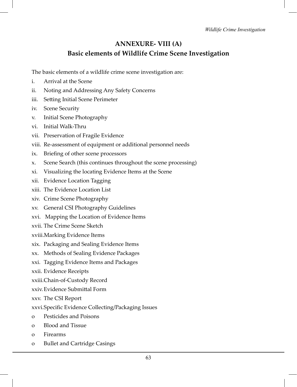## **ANNEXURE- VIII (A) Basic elements of Wildlife Crime Scene Investigation**

The basic elements of a wildlife crime scene investigation are:

- i. Arrival at the Scene
- ii. Noting and Addressing Any Safety Concerns
- iii. Setting Initial Scene Perimeter
- iv. Scene Security
- v. Initial Scene Photography
- vi. Initial Walk-Thru
- vii. Preservation of Fragile Evidence
- viii. Re-assessment of equipment or additional personnel needs
- ix. Briefing of other scene processors
- x. Scene Search (this continues throughout the scene processing)
- xi. Visualizing the locating Evidence Items at the Scene
- xii. Evidence Location Tagging
- xiii. The Evidence Location List

xiv. Crime Scene Photography

- xv. General CSI Photography Guidelines
- xvi. Mapping the Location of Evidence Items
- xvii. The Crime Scene Sketch
- xviii.Marking Evidence Items
- xix. Packaging and Sealing Evidence Items
- xx. Methods of Sealing Evidence Packages
- xxi. Tagging Evidence Items and Packages
- xxii. Evidence Receipts
- xxiii.Chain-of-Custody Record
- xxiv.Evidence Submittal Form
- xxv. The CSI Report
- xxvi.Specific Evidence Collecting/Packaging Issues
- o Pesticides and Poisons
- o Blood and Tissue
- o Firearms
- o Bullet and Cartridge Casings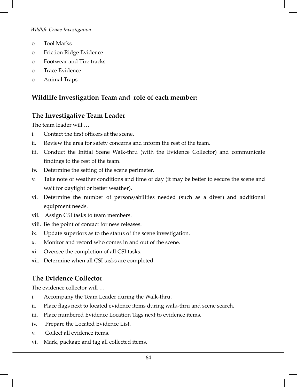- o Tool Marks
- o Friction Ridge Evidence
- o Footwear and Tire tracks
- o Trace Evidence
- o Animal Traps

### **Wildlife Investigation Team and role of each member:**

#### **The Investigative Team Leader**

The team leader will …

- i. Contact the first officers at the scene.
- ii. Review the area for safety concerns and inform the rest of the team.
- iii. Conduct the Initial Scene Walk-thru (with the Evidence Collector) and communicate findings to the rest of the team.
- iv. Determine the setting of the scene perimeter.
- v. Take note of weather conditions and time of day (it may be better to secure the scene and wait for daylight or better weather).
- vi. Determine the number of persons/abilities needed (such as a diver) and additional equipment needs.
- vii. Assign CSI tasks to team members.
- viii. Be the point of contact for new releases.
- ix. Update superiors as to the status of the scene investigation.
- x. Monitor and record who comes in and out of the scene.
- xi. Oversee the completion of all CSI tasks.
- xii. Determine when all CSI tasks are completed.

## **The Evidence Collector**

The evidence collector will …

- i. Accompany the Team Leader during the Walk-thru.
- ii. Place flags next to located evidence items during walk-thru and scene search.
- iii. Place numbered Evidence Location Tags next to evidence items.
- iv. Prepare the Located Evidence List.
- v. Collect all evidence items.
- vi. Mark, package and tag all collected items.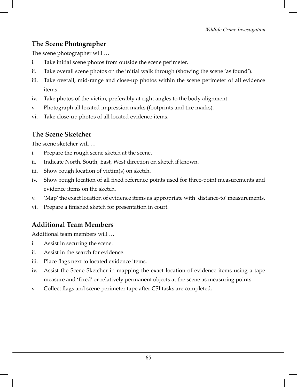## **The Scene Photographer**

The scene photographer will …

- i. Take initial scene photos from outside the scene perimeter.
- ii. Take overall scene photos on the initial walk through (showing the scene 'as found').
- iii. Take overall, mid-range and close-up photos within the scene perimeter of all evidence items.
- iv. Take photos of the victim, preferably at right angles to the body alignment.
- v. Photograph all located impression marks (footprints and tire marks).
- vi. Take close-up photos of all located evidence items.

## **The Scene Sketcher**

The scene sketcher will …

- i. Prepare the rough scene sketch at the scene.
- ii. Indicate North, South, East, West direction on sketch if known.
- iii. Show rough location of victim(s) on sketch.
- iv. Show rough location of all fixed reference points used for three-point measurements and evidence items on the sketch.
- v. 'Map' the exact location of evidence items as appropriate with 'distance-to' measurements.
- vi. Prepare a finished sketch for presentation in court.

# **Additional Team Members**

Additional team members will …

- i. Assist in securing the scene.
- ii. Assist in the search for evidence.
- iii. Place flags next to located evidence items.
- iv. Assist the Scene Sketcher in mapping the exact location of evidence items using a tape measure and 'fixed' or relatively permanent objects at the scene as measuring points.
- v. Collect flags and scene perimeter tape after CSI tasks are completed.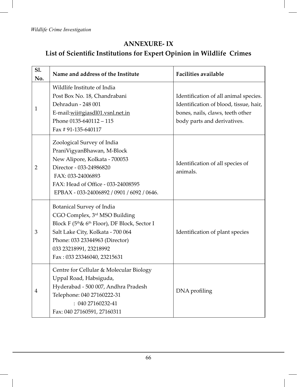# **ANNEXURE- IX List of Scientific Institutions for Expert Opinion in Wildlife Crimes**

| Sl.<br>No.     | Name and address of the Institute                                                                                                                                                                                                                                   | <b>Facilities available</b>                                                                                                                        |
|----------------|---------------------------------------------------------------------------------------------------------------------------------------------------------------------------------------------------------------------------------------------------------------------|----------------------------------------------------------------------------------------------------------------------------------------------------|
| 1              | Wildlife Institute of India<br>Post Box No. 18, Chandrabani<br>Dehradun - 248 001<br>E-mail:wii@giasdl01.vsnl.net.in<br>Phone $0135-640112-115$<br>Fax #91-135-640117                                                                                               | Identification of all animal species.<br>Identification of blood, tissue, hair,<br>bones, nails, claws, teeth other<br>body parts and derivatives. |
| $\overline{2}$ | Zoological Survey of India<br>PraniVigyanBhawan, M-Block<br>New Alipore, Kolkata - 700053<br>Director - 033-24986820<br>FAX: 033-24006893<br>FAX: Head of Office - 033-24008595<br>EPBAX - 033-24006892 / 0901 / 6092 / 0646.                                       | Identification of all species of<br>animals.                                                                                                       |
| 3              | Botanical Survey of India<br>CGO Complex, 3rd MSO Building<br>Block F (5 <sup>th</sup> & 6 <sup>th</sup> Floor), DF Block, Sector I<br>Salt Lake City, Kolkata - 700 064<br>Phone: 033 23344963 (Director)<br>033 23218991, 23218992<br>Fax: 033 23346040, 23215631 | Identification of plant species                                                                                                                    |
| 4              | Centre for Cellular & Molecular Biology<br>Uppal Road, Habsiguda,<br>Hyderabad - 500 007, Andhra Pradesh<br>Telephone: 040 27160222-31<br>: 040 27160232-41<br>Fax: 040 27160591, 27160311                                                                          | DNA profiling                                                                                                                                      |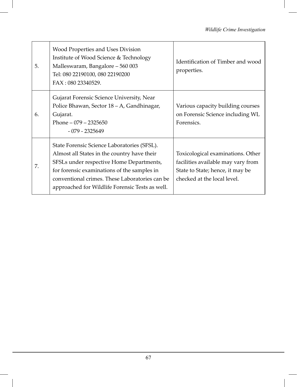| 5. | Wood Properties and Uses Division<br>Institute of Wood Science & Technology<br>Malleswaram, Bangalore - 560 003<br>Tel: 080 22190100, 080 22190200<br>FAX: 080 23340529.                                                                                                                   | Identification of Timber and wood<br>properties.                                                                                           |
|----|--------------------------------------------------------------------------------------------------------------------------------------------------------------------------------------------------------------------------------------------------------------------------------------------|--------------------------------------------------------------------------------------------------------------------------------------------|
| 6. | Gujarat Forensic Science University, Near<br>Police Bhawan, Sector 18 – A, Gandhinagar,<br>Gujarat.<br>Phone $-079 - 2325650$<br>$-079 - 2325649$                                                                                                                                          | Various capacity building courses<br>on Forensic Science including WL<br>Forensics.                                                        |
| 7. | State Forensic Science Laboratories (SFSL).<br>Almost all States in the country have their<br>SFSLs under respective Home Departments,<br>for forensic examinations of the samples in<br>conventional crimes. These Laboratories can be<br>approached for Wildlife Forensic Tests as well. | Toxicological examinations. Other<br>facilities available may vary from<br>State to State; hence, it may be<br>checked at the local level. |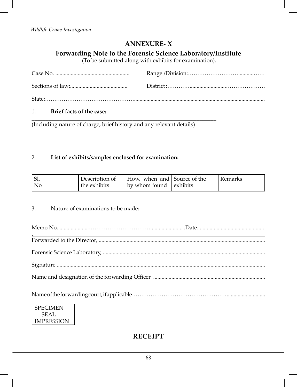## **ANNEXURE- X**

**Forwarding Note to the Forensic Science Laboratory/Institute**

(To be submitted along with exhibits for examination).

1. **Brief facts of the case:**

\_\_\_\_\_\_\_\_\_\_\_\_\_\_\_\_\_\_\_\_\_\_\_\_\_\_\_\_\_\_\_\_\_\_\_\_\_\_\_\_\_\_\_\_\_\_\_\_\_\_\_\_\_\_\_\_\_\_\_\_\_\_\_\_\_\_ (Including nature of charge, brief history and any relevant details)

#### 2. **List of exhibits/samples enclosed for examination:**

| $\mathsf{I}$ Sl. |                           | Description of How, when and Source of the | : Remarks |
|------------------|---------------------------|--------------------------------------------|-----------|
| l No             | <sup>I</sup> the exhibits | $\vert$ by whom found $\vert$ exhibits     |           |

3. Nature of examinations to be made:

| <b>SPECIMEN</b><br>$\sim$ |  |
|---------------------------|--|

 SEAL IMPRESSION

### **R E C E I P T**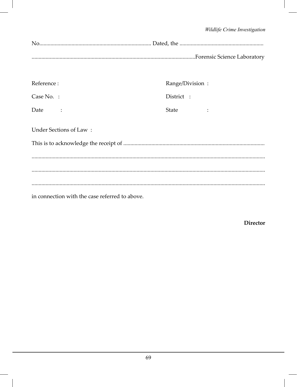| Reference:                                     | Range/Division: |  |  |
|------------------------------------------------|-----------------|--|--|
| Case No. :                                     | District :      |  |  |
| Date                                           | State           |  |  |
| Under Sections of Law:                         |                 |  |  |
|                                                |                 |  |  |
|                                                |                 |  |  |
|                                                |                 |  |  |
|                                                |                 |  |  |
| in connection with the case referred to above. |                 |  |  |

**Director**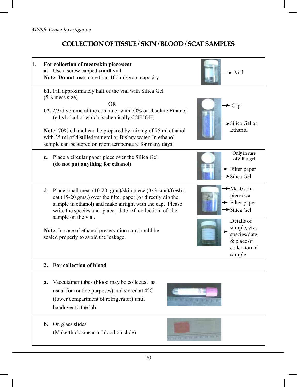## **COLLECTION OF TISSUE / SKIN / BLOOD / SCAT SAMPLES**

| 1. | For collection of meat/skin piece/scat<br>Use a screw capped small vial<br>a.<br>Note: Do not use more than 100 ml/gram capacity                                                                                                                                                                                                                                                                                   | $\blacktriangleright$ Vial                                                                                                                                                                |
|----|--------------------------------------------------------------------------------------------------------------------------------------------------------------------------------------------------------------------------------------------------------------------------------------------------------------------------------------------------------------------------------------------------------------------|-------------------------------------------------------------------------------------------------------------------------------------------------------------------------------------------|
|    | <b>b1.</b> Fill approximately half of the vial with Silica Gel<br>$(5-8$ mess size)<br><b>OR</b><br><b>b2.</b> 2/3rd volume of the container with 70% or absolute Ethanol<br>(ethyl alcohol which is chemically C2H5OH)<br>Note: 70% ethanol can be prepared by mixing of 75 ml ethanol<br>with 25 ml of distilled/mineral or Bislary water. In ethanol<br>sample can be stored on room temperature for many days. | $\sim$ Cap<br>$\blacktriangleright$ Silica Gel or<br>Ethanol                                                                                                                              |
|    | Place a circular paper piece over the Silica Gel<br>c.<br>(do not put anything for ethanol)                                                                                                                                                                                                                                                                                                                        | Only in case<br>of Silica gel<br>$\rightarrow$ Filter paper<br>$\rightarrow$ Silica Gel                                                                                                   |
|    | d. Place small meat $(10-20 \text{ gms})/\text{skin piece}$ $(3x3 \text{ cms})/\text{fresh}$ s<br>cat (15-20 gms.) over the filter paper (or directly dip the<br>sample in ethanol) and make airtight with the cap. Please<br>write the species and place, date of collection of the<br>sample on the vial.<br>Note: In case of ethanol preservation cap should be<br>sealed properly to avoid the leakage.        | <b>►</b> Meat/skin<br>piece/sca<br>$\rightarrow$ Filter paper<br>$\blacktriangleright$ Silica Gel<br>Details of<br>sample, viz.,<br>species/date<br>& place of<br>collection of<br>sample |
|    | 2. For collection of blood                                                                                                                                                                                                                                                                                                                                                                                         |                                                                                                                                                                                           |
|    | Vaccutainer tubes (blood may be collected as<br>a.<br>usual for routine purposes) and stored at 4°C<br>(lower compartment of refrigerator) until<br>handover to the lab.                                                                                                                                                                                                                                           |                                                                                                                                                                                           |
|    | On glass slides<br>b.<br>(Make thick smear of blood on slide)                                                                                                                                                                                                                                                                                                                                                      |                                                                                                                                                                                           |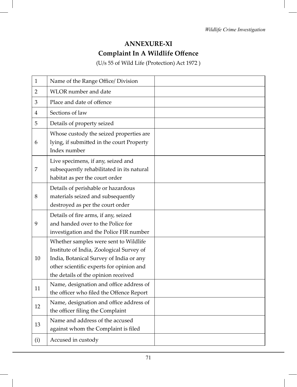## **ANNEXURE-XI Complaint In A Wildlife Offence**

(U/s 55 of Wild Life (Protection) Act 1972 )

| 1   | Name of the Range Office/ Division                                                                                                                                                                              |  |
|-----|-----------------------------------------------------------------------------------------------------------------------------------------------------------------------------------------------------------------|--|
| 2   | WLOR number and date                                                                                                                                                                                            |  |
| 3   | Place and date of offence                                                                                                                                                                                       |  |
| 4   | Sections of law                                                                                                                                                                                                 |  |
| 5   | Details of property seized                                                                                                                                                                                      |  |
| 6   | Whose custody the seized properties are<br>lying, if submitted in the court Property<br>Index number                                                                                                            |  |
| 7   | Live specimens, if any, seized and<br>subsequently rehabilitated in its natural<br>habitat as per the court order                                                                                               |  |
| 8   | Details of perishable or hazardous<br>materials seized and subsequently<br>destroyed as per the court order                                                                                                     |  |
| 9   | Details of fire arms, if any, seized<br>and handed over to the Police for<br>investigation and the Police FIR number                                                                                            |  |
| 10  | Whether samples were sent to Wildlife<br>Institute of India, Zoological Survey of<br>India, Botanical Survey of India or any<br>other scientific experts for opinion and<br>the details of the opinion received |  |
| 11  | Name, designation and office address of<br>the officer who filed the Offence Report                                                                                                                             |  |
| 12  | Name, designation and office address of<br>the officer filing the Complaint                                                                                                                                     |  |
| 13  | Name and address of the accused<br>against whom the Complaint is filed                                                                                                                                          |  |
| (i) | Accused in custody                                                                                                                                                                                              |  |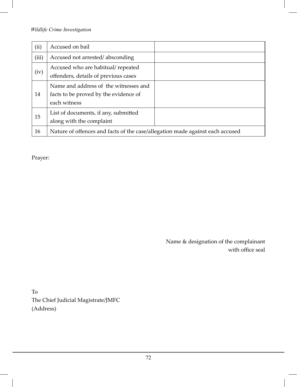| (ii)  | Accused on bail                                                                                |  |
|-------|------------------------------------------------------------------------------------------------|--|
| (iii) | Accused not arrested/absconding                                                                |  |
| (iv)  | Accused who are habitual/ repeated<br>offenders, details of previous cases                     |  |
| 14    | Name and address of the witnesses and<br>facts to be proved by the evidence of<br>each witness |  |
| 15    | List of documents, if any, submitted<br>along with the complaint                               |  |
| 16    | Nature of offences and facts of the case/allegation made against each accused                  |  |

Prayer:

Name & designation of the complainant with office seal

To The Chief Judicial Magistrate/JMFC (Address)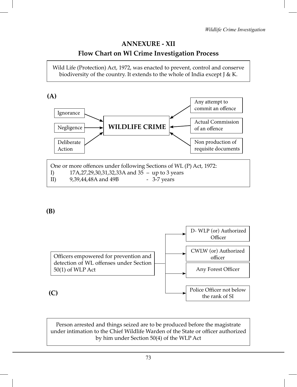# **ANNEXURE - XII Flow Chart on Wl Crime Investigation Process**

Wild Life (Protection) Act, 1972, was enacted to prevent, control and conserve biodiversity of the country. It extends to the whole of India except J & K.



**(B)**



Person arrested and things seized are to be produced before the magistrate under intimation to the Chief Wildlife Warden of the State or officer authorized by him under Section 50(4) of the WLP Act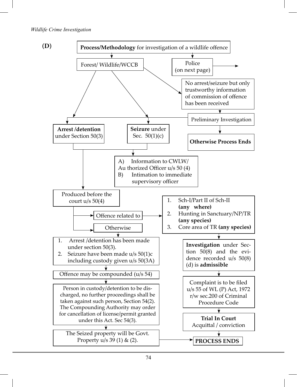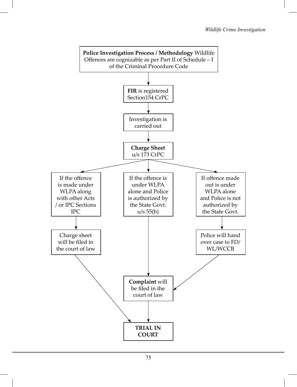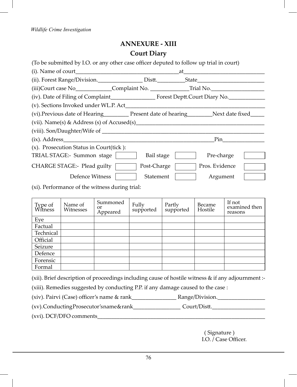# **ANNEXURE - XIII Court Diary**

| (To be submitted by I.O. or any other case officer deputed to follow up trial in court)            |             |                |  |
|----------------------------------------------------------------------------------------------------|-------------|----------------|--|
|                                                                                                    |             |                |  |
|                                                                                                    |             |                |  |
| (iii)Court case No ______________Complaint No. __________________________________                  |             |                |  |
|                                                                                                    |             |                |  |
|                                                                                                    |             |                |  |
| (vi). Previous date of Hearing____________ Present date of hearing___________Next date fixed______ |             |                |  |
| (vii). Name(s) & Address (s) of Accused(s)                                                         |             |                |  |
|                                                                                                    |             |                |  |
| $(ix)$ . Address                                                                                   |             | Pin            |  |
| (x). Prosecution Status in Court(tick):                                                            |             |                |  |
| TRIAL STAGE:- Summon stage                                                                         | Bail stage  | Pre-charge     |  |
| $CHARGE$ STAGE:- Plead guilty                                                                      | Post-Charge | Pros. Evidence |  |
| Defence Witness                                                                                    | Statement   | Argument       |  |

(xi). Performance of the witness during trial:

| Type of<br>Witness | Name of<br>Witnesses | Summoned<br>or<br>Appeared | Fully<br>supported | Partly<br>supported | Became<br>Hostile | If not<br>examined then<br>reasons |
|--------------------|----------------------|----------------------------|--------------------|---------------------|-------------------|------------------------------------|
| Eye                |                      |                            |                    |                     |                   |                                    |
| Factual            |                      |                            |                    |                     |                   |                                    |
| Technical          |                      |                            |                    |                     |                   |                                    |
| Official           |                      |                            |                    |                     |                   |                                    |
| Seizure            |                      |                            |                    |                     |                   |                                    |
| Defence            |                      |                            |                    |                     |                   |                                    |
| Forensic           |                      |                            |                    |                     |                   |                                    |
| Formal             |                      |                            |                    |                     |                   |                                    |

(xii). Brief description of proceedings including cause of hostile witness & if any adjournment :-

(xiii). Remedies suggested by conducting P.P. if any damage caused to the case :

(xiv). Pairvi (Case) officer's name & rank\_\_\_\_\_\_\_\_\_\_\_\_\_\_\_\_ Range/Division.\_\_\_\_\_\_\_\_\_\_\_\_\_\_\_\_\_

(xv). Conducting Prosecutor's name & rank\_\_\_\_\_\_\_\_\_\_\_\_\_\_\_\_\_ Court /Distt.\_\_\_\_\_\_\_\_\_\_\_\_\_\_\_\_\_\_\_

(xvi). DCF/DFO comments\_\_\_\_\_\_\_\_\_\_\_\_\_\_\_\_\_\_\_\_\_\_\_\_\_\_\_\_\_\_\_\_\_\_\_\_\_\_\_\_\_\_\_\_\_\_\_\_\_\_\_\_\_\_\_\_\_\_\_\_

( Signature ) I.O. / Case Officer.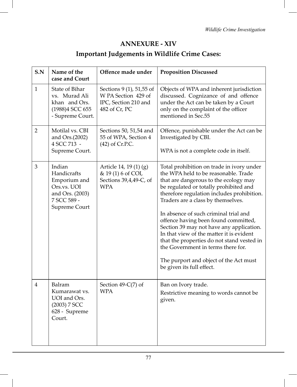# **ANNEXURE - XIV**

# **Important Judgements in Wildlife Crime Cases:**

| S.N            | Name of the<br>case and Court                                                                           | Offence made under                                                                       | <b>Proposition Discussed</b>                                                                                                                                                                                                                                                                                                                                                                                                                                                                                                                                                                 |
|----------------|---------------------------------------------------------------------------------------------------------|------------------------------------------------------------------------------------------|----------------------------------------------------------------------------------------------------------------------------------------------------------------------------------------------------------------------------------------------------------------------------------------------------------------------------------------------------------------------------------------------------------------------------------------------------------------------------------------------------------------------------------------------------------------------------------------------|
| $\mathbf{1}$   | State of Bihar<br>vs. Murad Ali<br>khan and Ors.<br>(1988)4 SCC 655<br>- Supreme Court.                 | Sections 9 (1), 51,55 of<br>W PA Section 429 of<br>IPC, Section 210 and<br>482 of Cr, PC | Objects of WPA and inherent jurisdiction<br>discussed. Cognizance of and offence<br>under the Act can be taken by a Court<br>only on the complaint of the officer<br>mentioned in Sec.55                                                                                                                                                                                                                                                                                                                                                                                                     |
| $\overline{2}$ | Motilal vs. CBI<br>and Ors.(2002)<br>4 SCC 713 -<br>Supreme Court.                                      | Sections 50, 51,54 and<br>55 of WPA, Section 4<br>$(42)$ of Cr.P.C.                      | Offence, punishable under the Act can be<br>Investigated by CBI.<br>WPA is not a complete code in itself.                                                                                                                                                                                                                                                                                                                                                                                                                                                                                    |
| $\mathfrak{Z}$ | Indian<br>Handicrafts<br>Emporium and<br>Ors.vs. UOI<br>and Ors. (2003)<br>7 SCC 589 -<br>Supreme Court | Article 14, 19 (1) (g)<br>& 19(1) 6 of COI,<br>Sections 39,4,49-C, of<br>WPA             | Total prohibition on trade in ivory under<br>the WPA held to be reasonable. Trade<br>that are dangerous to the ecology may<br>be regulated or totally prohibited and<br>therefore regulation includes prohibition.<br>Traders are a class by themselves.<br>In absence of such criminal trial and<br>offence having been found committed,<br>Section 39 may not have any application.<br>In that view of the matter it is evident<br>that the properties do not stand vested in<br>the Government in terms there for.<br>The purport and object of the Act must<br>be given its full effect. |
| $\overline{4}$ | Balram<br>Kumarawat vs.<br>UOI and Ors.<br>(2003) 7 SCC<br>628 - Supreme<br>Court.                      | Section $49-C(7)$ of<br>WPA                                                              | Ban on Ivory trade.<br>Restrictive meaning to words cannot be<br>given.                                                                                                                                                                                                                                                                                                                                                                                                                                                                                                                      |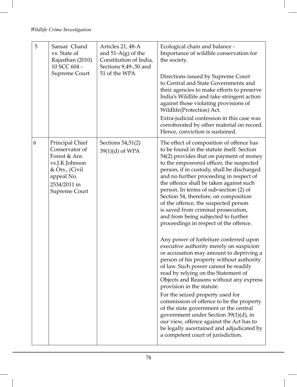| 5 | Sansar Chand<br>vs. State of<br>Rajasthan (2010)<br>10 SCC 604 -<br>Supreme Court                                                     | Articles 21, 48-A<br>and $51-A(g)$ of the<br>Constitution of India,<br>Sections 9,49-,50 and<br>51 of the WPA | Ecological chain and balance -<br>Importance of wildlife conservation for<br>the society.<br>Directions issued by Supreme Court<br>to Central and State Governments and<br>their agencies to make efforts to preserve<br>India's Wildlife and take stringent action<br>against those violating provisions of<br>Wildlife(Protection) Act.<br>Extra-judicial confession in this case was<br>corroborated by other material on record.<br>Hence, conviction is sustained.                                                                                                                                                           |
|---|---------------------------------------------------------------------------------------------------------------------------------------|---------------------------------------------------------------------------------------------------------------|-----------------------------------------------------------------------------------------------------------------------------------------------------------------------------------------------------------------------------------------------------------------------------------------------------------------------------------------------------------------------------------------------------------------------------------------------------------------------------------------------------------------------------------------------------------------------------------------------------------------------------------|
| 6 | Principal Chief<br>Conservator of<br>Forest & Anr.<br>vs.J.K.Johnson<br>& Ors., (Civil<br>appeal No.<br>2534/2011 in<br>Supreme Court | Sections 54,51(2)<br>$39(1)(d)$ of WPA                                                                        | The effect of composition of offence has<br>to be found in the statute itself. Section<br>54(2) provides that on payment of money<br>to the empowered officer, the suspected<br>person, if in custody, shall be discharged<br>and no further proceeding in respect of<br>the offence shall be taken against such<br>person. In terms of sub-section (2) of<br>Section 54, therefore, on composition<br>of the offence, the suspected person<br>is saved from criminal prosecution,<br>and from being subjected to further<br>proceedings in respect of the offence.                                                               |
|   |                                                                                                                                       |                                                                                                               | Any power of forfeiture conferred upon<br>executive authority merely on suspicion<br>or accusation may amount to depriving a<br>person of his property without authority<br>of law. Such power cannot be readily<br>read by relying on the Statement of<br>Objects and Reasons without any express<br>provision in the statute.<br>For the seized property used for<br>commission of offence to be the property<br>of the state government or the central<br>government under Section 39(1)(d), in<br>our view, offence against the Act has to<br>be legally ascertained and adjudicated by<br>a competent court of jurisdiction. |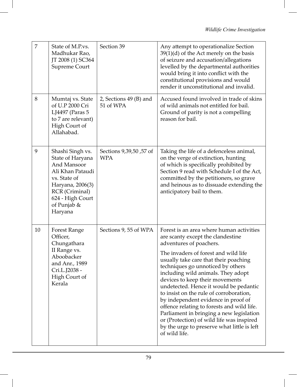| 7  | State of M.P.vs.<br>Madhukar Rao,<br>JT 2008 (1) SC364<br>Supreme Court                                                                                                     | Section 39                           | Any attempt to operationalize Section<br>$39(1)(d)$ of the Act merely on the basis<br>of seizure and accusation/allegations<br>levelled by the departmental authorities<br>would bring it into conflict with the<br>constitutional provisions and would<br>render it unconstitutional and invalid.                                                                                                                                                                                                                                                                                                                                         |
|----|-----------------------------------------------------------------------------------------------------------------------------------------------------------------------------|--------------------------------------|--------------------------------------------------------------------------------------------------------------------------------------------------------------------------------------------------------------------------------------------------------------------------------------------------------------------------------------------------------------------------------------------------------------------------------------------------------------------------------------------------------------------------------------------------------------------------------------------------------------------------------------------|
| 8  | Mumtaj vs. State<br>of U.P 2000 Cri<br>LJ4497 (Paras 5<br>to 7 are relevant)<br>High Court of<br>Allahabad.                                                                 | 2, Sections 49 (B) and<br>51 of WPA  | Accused found involved in trade of skins<br>of wild animals not entitled for bail.<br>Ground of parity is not a compelling<br>reason for bail.                                                                                                                                                                                                                                                                                                                                                                                                                                                                                             |
| 9  | Shashi Singh vs.<br>State of Haryana<br>And Mansoor<br>Ali Khan Pataudi<br>vs. State of<br>Haryana, 2006(3)<br>RCR (Criminal)<br>624 - High Court<br>of Punjab &<br>Haryana | Sections 9,39,50,57 of<br><b>WPA</b> | Taking the life of a defenceless animal,<br>on the verge of extinction, hunting<br>of which is specifically prohibited by<br>Section 9 read with Schedule I of the Act,<br>committed by the petitioners, so grave<br>and heinous as to dissuade extending the<br>anticipatory bail to them.                                                                                                                                                                                                                                                                                                                                                |
| 10 | Forest Range<br>Officer,<br>Chungathara<br>II Range vs.<br>Aboobacker<br>and Anr., 1989<br>Cri.L.J2038 -<br>High Court of<br>Kerala                                         | Sections 9, 55 of WPA                | Forest is an area where human activities<br>are scanty except the clandestine<br>adventures of poachers.<br>The invaders of forest and wild life<br>usually take care that their poaching<br>techniques go unnoticed by others<br>including wild animals. They adopt<br>devices to keep their movements<br>undetected. Hence it would be pedantic<br>to insist on the rule of corroboration,<br>by independent evidence in proof of<br>offence relating to forests and wild life.<br>Parliament in bringing a new legislation<br>or (Protection) of wild life was inspired<br>by the urge to preserve what little is left<br>of wild life. |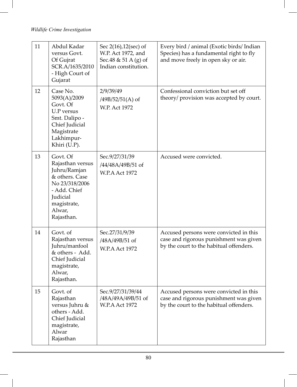| 11 | Abdul Kadar<br>versus Govt.<br>Of Gujrat<br>SCR.A/1635/2010<br>- High Court of<br>Gujarat                                                           | Sec 2(16), 12(sec) of<br>W.P. Act 1972, and<br>Sec. 48 & 51 A (g) of<br>Indian constitution. | Every bird / animal (Exotic birds/ Indian<br>Species) has a fundamental right to fly<br>and move freely in open sky or air. |
|----|-----------------------------------------------------------------------------------------------------------------------------------------------------|----------------------------------------------------------------------------------------------|-----------------------------------------------------------------------------------------------------------------------------|
| 12 | Case No.<br>5093(A)/2009<br>Govt. Of<br><b>U.P</b> versus<br>Smt. Dalipo -<br>Chief Judicial<br>Magistrate<br>Lakhimpur-<br>Khiri (U.P).            | 2/9/39/49<br>$/49B/52/51(A)$ of<br>W.P. Act 1972                                             | Confessional conviction but set off<br>theory/ provision was accepted by court.                                             |
| 13 | Govt. Of<br>Rajasthan versus<br>Juhru/Ramjan<br>& others. Case<br>No 23/318/2006<br>- Add. Chief<br>Judicial<br>magistrate,<br>Alwar,<br>Rajasthan. | Sec.9/27/31/39<br>/44/48A/49B/51 of<br>W.P.A Act 1972                                        | Accused were convicted.                                                                                                     |
| 14 | Govt. of<br>Rajasthan versus<br>Juhru/manfool<br>& others - Add.<br>Chief Judicial<br>magistrate,<br>Alwar,<br>Rajasthan.                           | Sec.27/31/9/39<br>/48A/49B/51 of<br>W.P.A Act 1972                                           | Accused persons were convicted in this<br>case and rigorous punishment was given<br>by the court to the habitual offenders. |
| 15 | Govt. of<br>Rajasthan<br>versus Juhru &<br>others - Add.<br>Chief Judicial<br>magistrate,<br>Alwar<br>Rajasthan                                     | Sec.9/27/31/39/44<br>/48A/49A/49B/51 of<br>W.P.A Act 1972                                    | Accused persons were convicted in this<br>case and rigorous punishment was given<br>by the court to the habitual offenders. |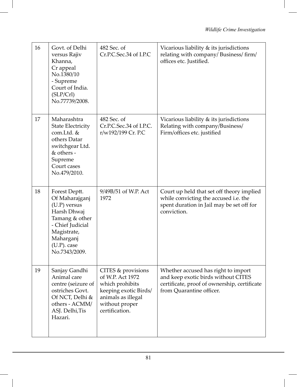| 16 | Govt. of Delhi<br>versus Rajiv<br>Khanna,<br>Cr appeal<br>No.1380/10<br>- Supreme<br>Court of India.<br>(SLP/Crl)<br>No.77739/2008.                                   | 482 Sec. of<br>Cr.P.C.Sec.34 of I.P.C                                                                                                        | Vicarious liability & its jurisdictions<br>relating with company/Business/firm/<br>offices etc. Justified.                                             |
|----|-----------------------------------------------------------------------------------------------------------------------------------------------------------------------|----------------------------------------------------------------------------------------------------------------------------------------------|--------------------------------------------------------------------------------------------------------------------------------------------------------|
| 17 | Maharashtra<br>State Electricity<br>com.Ltd. &<br>others Datar<br>switchgear Ltd.<br>& others -<br>Supreme<br>Court cases<br>No.479/2010.                             | 482 Sec. of<br>Cr.P.C.Sec.34 of I.P.C.<br>r/w192/199 Cr. P.C                                                                                 | Vicarious liability & its jurisdictions<br>Relating with company/Business/<br>Firm/offices etc. justified                                              |
| 18 | Forest Deptt.<br>Of Maharajganj<br>$(U.P)$ versus<br>Harsh Dhwaj<br>Tamang & other<br>- Chief Judicial<br>Magistrate,<br>Maharganj<br>$(U.P)$ . case<br>No.7343/2009. | 9/49B/51 of W.P. Act<br>1972                                                                                                                 | Court up held that set off theory implied<br>while convicting the accused i.e. the<br>spent duration in Jail may be set off for<br>conviction.         |
| 19 | Sanjay Gandhi<br>Animal care<br>centre (seizure of<br>ostriches Govt.<br>Of NCT, Delhi &<br>others - ACMM/<br>ASJ. Delhi, Tis<br>Hazari.                              | CITES & provisions<br>of W.P. Act 1972<br>which prohibits<br>keeping exotic Birds/<br>animals as illegal<br>without proper<br>certification. | Whether accused has right to import<br>and keep exotic birds without CITES<br>certificate, proof of ownership, certificate<br>from Quarantine officer. |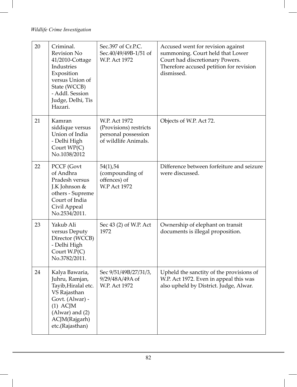| 20 | Criminal.<br><b>Revision No</b><br>41/2010-Cottage<br>Industries<br>Exposition<br>versus Union of<br>State (WCCB)<br>- Addl. Session<br>Judge, Delhi, Tis<br>Hazari. | Sec.397 of Cr.P.C.<br>Sec.40/49/49B-1/51 of<br>W.P. Act 1972                           | Accused went for revision against<br>summoning. Court held that Lower<br>Court had discretionary Powers.<br>Therefore accused petition for revision<br>dismissed. |
|----|----------------------------------------------------------------------------------------------------------------------------------------------------------------------|----------------------------------------------------------------------------------------|-------------------------------------------------------------------------------------------------------------------------------------------------------------------|
| 21 | Kamran<br>siddique versus<br>Union of India<br>- Delhi High<br>Court $WP(C)$<br>No.1038/2012                                                                         | W.P. Act 1972<br>(Provisions) restricts<br>personal possession<br>of wildlife Animals. | Objects of W.P. Act 72.                                                                                                                                           |
| 22 | PCCF (Govt<br>of Andhra<br>Pradesh versus<br>J.K Johnson &<br>others - Supreme<br>Court of India<br>Civil Appeal<br>No.2534/2011.                                    | 54(1), 54<br>(compounding of<br>offences) of<br><b>W.P Act 1972</b>                    | Difference between forfeiture and seizure<br>were discussed.                                                                                                      |
| 23 | Yakub Ali<br>versus Deputy<br>Director (WCCB)<br>- Delhi High<br>Court $W.P(C)$<br>No.3782/2011.                                                                     | Sec 43 (2) of W.P. Act<br>1972                                                         | Ownership of elephant on transit<br>documents is illegal proposition.                                                                                             |
| 24 | Kalya Bawaria,<br>Juhru, Ramjan,<br>Tayib, Hiralal etc.<br>VS Rajasthan<br>Govt. (Alwar) -<br>$(1)$ ACJM<br>$(Alwar)$ and $(2)$<br>ACJM(Rajgarh)<br>etc.(Rajasthan)  | Sec 9/51/49B/27/31/3,<br>9/29/48A/49A of<br>W.P. Act 1972                              | Upheld the sanctity of the provisions of<br>W.P. Act 1972. Even in appeal this was<br>also upheld by District. Judge, Alwar.                                      |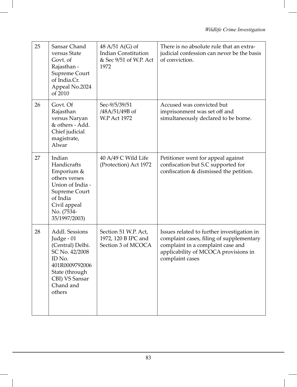| 25 | Sansar Chand<br>versus State<br>Govt. of<br>Rajasthan -<br>Supreme Court<br>of India.Cr.<br>Appeal No.2024<br>of 2010                                     | 48 A/51 A(G) of<br><b>Indian Constitution</b><br>& Sec 9/51 of W.P. Act<br>1972 | There is no absolute rule that an extra-<br>judicial confession can never be the basis<br>of conviction.                                                                               |
|----|-----------------------------------------------------------------------------------------------------------------------------------------------------------|---------------------------------------------------------------------------------|----------------------------------------------------------------------------------------------------------------------------------------------------------------------------------------|
| 26 | Govt. Of<br>Rajasthan<br>versus Naryan<br>& others - Add.<br>Chief judicial<br>magistrate,<br>Alwar                                                       | Sec-9/5/39/51<br>/48A/51/49B of<br>W.P Act 1972                                 | Accused was convicted but<br>imprisonment was set off and<br>simultaneously declared to be borne.                                                                                      |
| 27 | Indian<br>Handicrafts<br>Emporium &<br>others verses<br>Union of India -<br>Supreme Court<br>of India<br>Civil appeal<br>No. (7534-<br>35/1997/2003)      | 40 A/49 C Wild Life<br>(Protection) Act 1972                                    | Petitioner went for appeal against<br>confiscation but S.C supported for<br>confiscation & dismissed the petition.                                                                     |
| 28 | Addl. Sessions<br>Judge - 01<br>(Central) Delhi.<br>SC No. 42/2008<br>ID No.<br>401R0009792006<br>State (through<br>CBI) VS Sansar<br>Chand and<br>others | Section 51 W.P. Act,<br>1972, 120 B IPC and<br>Section 3 of MCOCA               | Issues related to further investigation in<br>complaint cases, filing of supplementary<br>complaint in a complaint case and<br>applicability of MCOCA provisions in<br>complaint cases |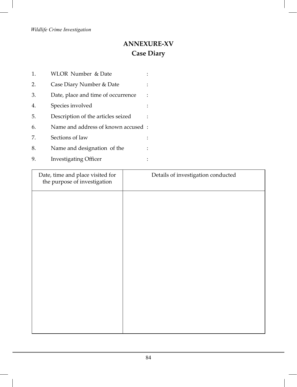# **ANNEXURE-XV Case Diary**

| 1. | WLOR Number & Date                 |  |
|----|------------------------------------|--|
| 2. | Case Diary Number & Date           |  |
| 3. | Date, place and time of occurrence |  |
| 4. | Species involved                   |  |
| 5. | Description of the articles seized |  |
| 6. | Name and address of known accused: |  |
| 7. | Sections of law                    |  |
| 8. | Name and designation of the        |  |
| 9. | <b>Investigating Officer</b>       |  |

| Details of investigation conducted |
|------------------------------------|
|                                    |
|                                    |
|                                    |
|                                    |
|                                    |
|                                    |
|                                    |
|                                    |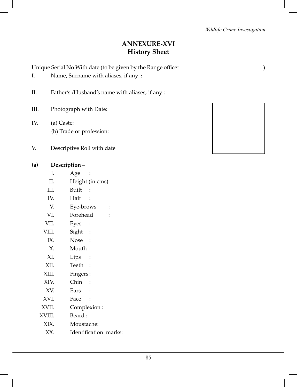## **ANNEXURE-XVI History Sheet**

Unique Serial No With date (to be given by the Range officer

- I. Name, Surname with aliases, if any **:**
- II. Father's /Husband's name with aliases, if any :
- III. Photograph with Date:
- IV. (a) Caste: (b) Trade or profession:
- V. Descriptive Roll with date

### **(a) Description –**

- I. Age :
- II. Height (in cms):
- III. Built :
- IV. Hair :
- V. Eye-brows :
- VI. Forehead :
- VII. Eyes :
- VIII. Sight :
- IX. Nose :
- X. Mouth :
- XI. Lips :
- XII. Teeth :
- XIII. Fingers :
- XIV. Chin :
- XV. Ears :
- XVI. Face :
- XVII. Complexion :
- XVIII. Beard :
	- XIX. Moustache:
	- XX. Identification marks:



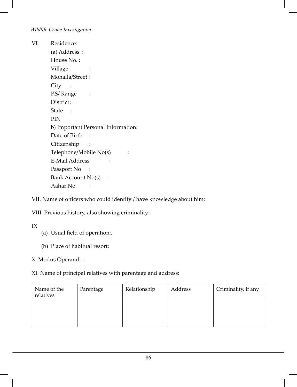VI. Residence: (a) Address : House No. : Village : Mohalla/Street : City : P.S/ Range : District: State : PIN b) Important Personal Information: Date of Birth : Citizenship : Telephone/Mobile No(s) : E-Mail Address : Passport No : Bank Account No(s) : Aahar No. :

VII. Name of officers who could identify / have knowledge about him:

VIII. Previous history, also showing criminality:

IX

- (a) Usual field of operation:.
- (b) Place of habitual resort:

X. Modus Operandi :.

XI. Name of principal relatives with parentage and address:

| Name of the<br>relatives | Parentage | Relationship | Address | Criminality, if any |
|--------------------------|-----------|--------------|---------|---------------------|
|                          |           |              |         |                     |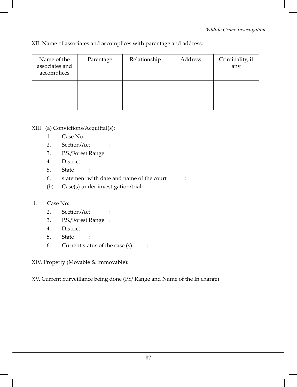| Name of the<br>associates and<br>accomplices | Parentage | Relationship | Address | Criminality, if<br>any |
|----------------------------------------------|-----------|--------------|---------|------------------------|
|                                              |           |              |         |                        |

XII. Name of associates and accomplices with parentage and address:

### XIII (a) Convictions/Acquittal(s):

- 1. Case No :
- 2. Section/Act :
- 3. P.S./Forest Range :
- 4. District :
- 5. State :
- 6. statement with date and name of the court :
- (b) Case(s) under investigation/trial:

### 1. Case No:

- 2. Section/Act :
- 3. P.S./Forest Range :
- 4. District :
- 5. State :
- 6. Current status of the case (s) :

XIV. Property (Movable & Immovable):

XV. Current Surveillance being done (PS/ Range and Name of the In charge)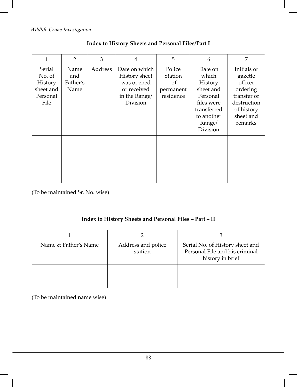| 1                                                            | $\overline{2}$                  | 3       | $\overline{4}$                                                                           | 5                                                            | 6                                                                                                                     | 7                                                                                                                 |
|--------------------------------------------------------------|---------------------------------|---------|------------------------------------------------------------------------------------------|--------------------------------------------------------------|-----------------------------------------------------------------------------------------------------------------------|-------------------------------------------------------------------------------------------------------------------|
| Serial<br>No. of<br>History<br>sheet and<br>Personal<br>File | Name<br>and<br>Father's<br>Name | Address | Date on which<br>History sheet<br>was opened<br>or received<br>in the Range/<br>Division | Police<br>Station<br><sub>of</sub><br>permanent<br>residence | Date on<br>which<br>History<br>sheet and<br>Personal<br>files were<br>transferred<br>to another<br>Range/<br>Division | Initials of<br>gazette<br>officer<br>ordering<br>transfer or<br>destruction<br>of history<br>sheet and<br>remarks |
|                                                              |                                 |         |                                                                                          |                                                              |                                                                                                                       |                                                                                                                   |

### **Index to History Sheets and Personal Files/Part I**

(To be maintained Sr. No. wise)

### **Index to History Sheets and Personal Files – Part – II**

| Name & Father's Name | Address and police<br>station | Serial No. of History sheet and<br>Personal File and his criminal<br>history in brief |
|----------------------|-------------------------------|---------------------------------------------------------------------------------------|
|                      |                               |                                                                                       |

(To be maintained name wise)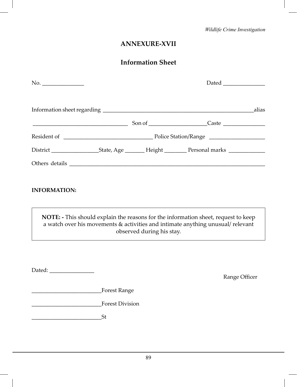# **ANNEXURE-XVII**

# **Information Sheet**

|                     |                 |                           | Dated _______________                                                                                                                                                |  |  |
|---------------------|-----------------|---------------------------|----------------------------------------------------------------------------------------------------------------------------------------------------------------------|--|--|
|                     |                 |                           |                                                                                                                                                                      |  |  |
|                     |                 |                           | $S$ on of $\qquad \qquad$ Caste $\qquad \qquad$                                                                                                                      |  |  |
|                     |                 |                           |                                                                                                                                                                      |  |  |
|                     |                 |                           | District _______________________State, Age __________ Height __________ Personal marks _____________                                                                 |  |  |
|                     |                 |                           |                                                                                                                                                                      |  |  |
| <b>INFORMATION:</b> |                 |                           |                                                                                                                                                                      |  |  |
|                     |                 | observed during his stay. | NOTE: - This should explain the reasons for the information sheet, request to keep<br>a watch over his movements & activities and intimate anything unusual/relevant |  |  |
|                     |                 |                           |                                                                                                                                                                      |  |  |
|                     |                 |                           | Range Officer                                                                                                                                                        |  |  |
|                     |                 |                           |                                                                                                                                                                      |  |  |
|                     | Forest Division |                           |                                                                                                                                                                      |  |  |
| <u>St</u>           |                 |                           |                                                                                                                                                                      |  |  |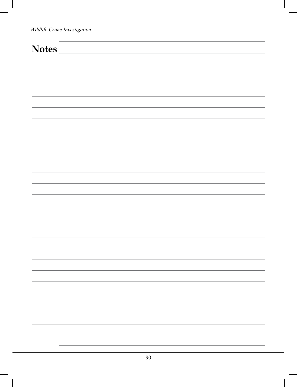# **Notes**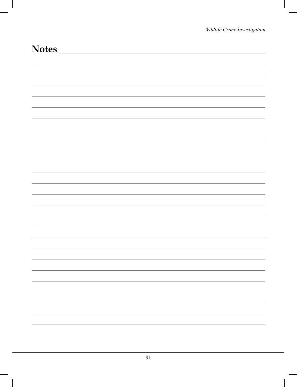|                          | <b>Notes</b> |
|--------------------------|--------------|
|                          |              |
|                          |              |
|                          |              |
|                          |              |
|                          |              |
|                          |              |
|                          |              |
|                          |              |
|                          |              |
|                          |              |
|                          |              |
|                          |              |
|                          |              |
|                          |              |
|                          |              |
|                          |              |
|                          |              |
|                          |              |
|                          |              |
|                          |              |
| $\overline{\phantom{0}}$ |              |
| -                        |              |